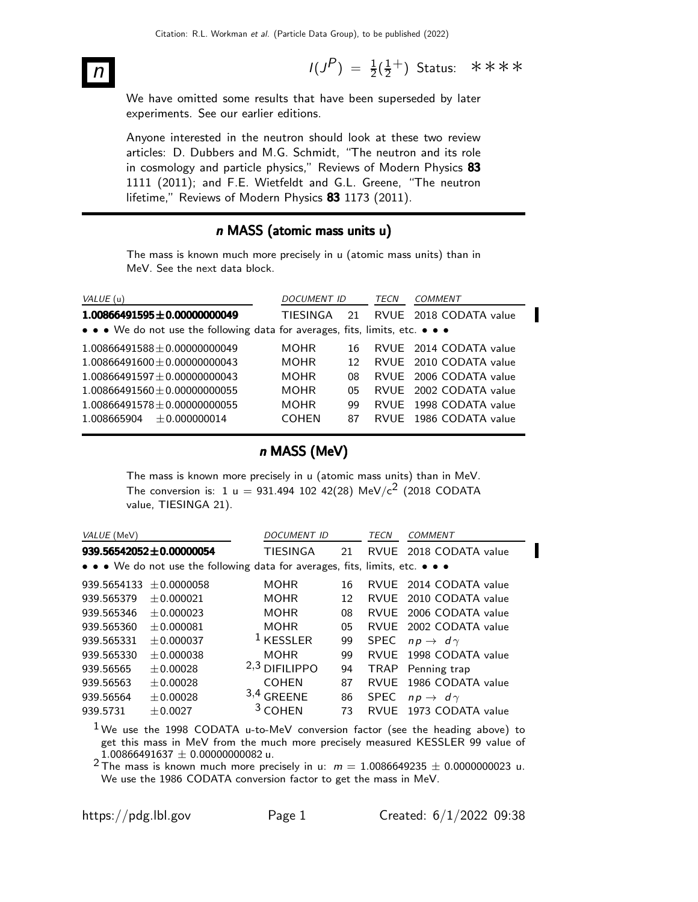$n$  I(J  $P$ ) =  $\frac{1}{2}(\frac{1}{2})$  $\frac{1}{2}^+$ ) Status: \*\*\*\*

We have omitted some results that have been superseded by later experiments. See our earlier editions.

Anyone interested in the neutron should look at these two review articles: D. Dubbers and M.G. Schmidt, "The neutron and its role in cosmology and particle physics," Reviews of Modern Physics 83 1111 (2011); and F.E. Wietfeldt and G.L. Greene, "The neutron lifetime," Reviews of Modern Physics 83 1173 (2011).

#### n MASS (atomic mass units u)

The mass is known much more precisely in u (atomic mass units) than in MeV. See the next data block.

| VALUE (u)                                                                     | <i>DOCUMENT ID</i> |    | TECN | COMMENT                |
|-------------------------------------------------------------------------------|--------------------|----|------|------------------------|
| $1.00866491595 \pm 0.00000000049$                                             | TIFSINGA           | 21 |      | RVUE 2018 CODATA value |
| • • • We do not use the following data for averages, fits, limits, etc. • • • |                    |    |      |                        |
| $1.00866491588 \pm 0.00000000049$                                             | <b>MOHR</b>        | 16 |      | RVUE 2014 CODATA value |
| $1.00866491600 \pm 0.00000000043$                                             | <b>MOHR</b>        | 12 |      | RVUE 2010 CODATA value |
| $1.00866491597 + 0.00000000043$                                               | <b>MOHR</b>        | 08 |      | RVUE 2006 CODATA value |
| $1.00866491560 + 0.00000000055$                                               | <b>MOHR</b>        | 05 |      | RVUE 2002 CODATA value |
| $1.00866491578 \pm 0.00000000055$                                             | <b>MOHR</b>        | qq |      | RVUE 1998 CODATA value |
| $1.008665904 + 0.000000014$                                                   | <b>COHEN</b>       | 87 |      | RVUE 1986 CODATA value |

#### n MASS (MeV)

The mass is known more precisely in u (atomic mass units) than in MeV. The conversion is: 1 u = 931.494 102 42(28) MeV/c<sup>2</sup> (2018 CODATA value, TIESINGA 21).

| VALUE (MeV)                                                                   |                         | <i>DOCUMENT ID</i>   |    | TECN        | COMMENT                  |  |  |  |
|-------------------------------------------------------------------------------|-------------------------|----------------------|----|-------------|--------------------------|--|--|--|
|                                                                               | 939.56542052±0.00000054 | <b>TIESINGA</b>      | 21 |             | RVUE 2018 CODATA value   |  |  |  |
| • • • We do not use the following data for averages, fits, limits, etc. • • • |                         |                      |    |             |                          |  |  |  |
| 939.5654133                                                                   | $+0.0000058$            | <b>MOHR</b>          | 16 |             | RVUE 2014 CODATA value   |  |  |  |
| 939.565379                                                                    | ± 0.000021              | <b>MOHR</b>          | 12 |             | RVUE 2010 CODATA value   |  |  |  |
| 939.565346                                                                    | $+0.000023$             | <b>MOHR</b>          | 08 | RVUF        | 2006 CODATA value        |  |  |  |
| 939.565360                                                                    | $+0.000081$             | <b>MOHR</b>          | 05 | <b>RVUE</b> | 2002 CODATA value        |  |  |  |
| 939.565331                                                                    | $+0.000037$             | <sup>1</sup> KESSLER | 99 | <b>SPEC</b> | $np \rightarrow d\gamma$ |  |  |  |
| 939.565330                                                                    | $+0.000038$             | <b>MOHR</b>          | 99 | <b>RVUF</b> | 1998 CODATA value        |  |  |  |
| 939.56565                                                                     | ± 0.00028               | $2,3$ DIFILIPPO      | 94 |             | TRAP Penning trap        |  |  |  |
| 939.56563                                                                     | ± 0.00028               | <b>COHEN</b>         | 87 | <b>RVUE</b> | 1986 CODATA value        |  |  |  |
| 939.56564                                                                     | ± 0.00028               | $3,4$ GREENE         | 86 | <b>SPEC</b> | $np \rightarrow d\gamma$ |  |  |  |
| 939.5731                                                                      | $+0.0027$               | $3$ COHEN            | 73 | RVUF        | 1973 CODATA value        |  |  |  |

 $1$ We use the 1998 CODATA u-to-MeV conversion factor (see the heading above) to get this mass in MeV from the much more precisely measured KESSLER 99 value of  $1.00866491637 \pm 0.00000000082$ u.

<sup>2</sup> The mass is known much more precisely in u:  $m = 1.0086649235 \pm 0.0000000023$  u. We use the 1986 CODATA conversion factor to get the mass in MeV.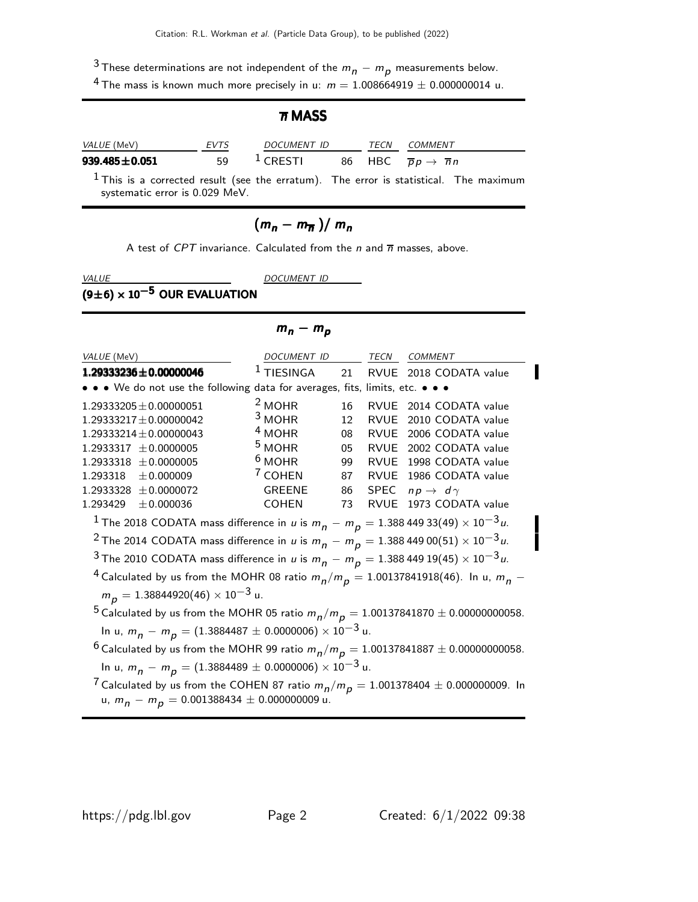$3$  These determinations are not independent of the  $m_n - m_p$  measurements below.

<sup>4</sup> The mass is known much more precisely in u:  $m = 1.008664919 \pm 0.000000014$  u.

|                                |             | $\overline{n}$ MASS                                                  |      |                                                                                         |
|--------------------------------|-------------|----------------------------------------------------------------------|------|-----------------------------------------------------------------------------------------|
| VALUE (MeV)                    | <i>EVTS</i> | <i>DOCUMENT ID</i>                                                   | TECN | <i>COMMENT</i>                                                                          |
| 939.485 $\pm$ 0.051            | 59          | <sup>1</sup> CRESTI 86 HBC $\overline{p}p \rightarrow \overline{n}n$ |      |                                                                                         |
| systematic error is 0.029 MeV. |             |                                                                      |      | $1$ This is a corrected result (see the erratum). The error is statistical. The maximum |

# $(m_n - m_{\overline{n}})/m_n$

A test of CPT invariance. Calculated from the  $n$  and  $\overline{n}$  masses, above.

VALUE DOCUMENT ID

 $m_n - m_p$ 

# $\frac{1}{(9\pm 6)\times 10^{-5}}$  OUR EVALUATION

| VALUE (MeV)                                                                                                                                                           | DOCUMENT ID                                                                                        |    | TECN        | COMMENT                  |  |  |  |  |
|-----------------------------------------------------------------------------------------------------------------------------------------------------------------------|----------------------------------------------------------------------------------------------------|----|-------------|--------------------------|--|--|--|--|
| $1.29333236 \pm 0.00000046$                                                                                                                                           | $1$ TIESINGA                                                                                       | 21 | <b>RVUE</b> | 2018 CODATA value        |  |  |  |  |
| • • • We do not use the following data for averages, fits, limits, etc. • • •                                                                                         |                                                                                                    |    |             |                          |  |  |  |  |
| $1.29333205 \pm 0.00000051$                                                                                                                                           | $2$ MOHR                                                                                           | 16 |             | RVUE 2014 CODATA value   |  |  |  |  |
| $1.29333217 \pm 0.00000042$                                                                                                                                           | $3$ MOHR                                                                                           | 12 | <b>RVUE</b> | 2010 CODATA value        |  |  |  |  |
| $1.29333214 \pm 0.00000043$                                                                                                                                           | $4$ MOHR                                                                                           | 08 | RVUE        | 2006 CODATA value        |  |  |  |  |
| $1.2933317 \pm 0.0000005$                                                                                                                                             | <sup>5</sup> MOHR                                                                                  | 05 | RVUE        | 2002 CODATA value        |  |  |  |  |
| $1.2933318 \pm 0.0000005$                                                                                                                                             | $6$ MOHR                                                                                           | 99 |             | RVUE 1998 CODATA value   |  |  |  |  |
| $1.293318 \pm 0.000009$                                                                                                                                               | <sup>7</sup> COHEN                                                                                 | 87 |             | RVUE 1986 CODATA value   |  |  |  |  |
| $1.2933328 \pm 0.0000072$                                                                                                                                             | <b>GREENE</b>                                                                                      | 86 | SPEC        | $np \rightarrow d\gamma$ |  |  |  |  |
| ±0.000036<br>1.293429                                                                                                                                                 | <b>COHEN</b>                                                                                       | 73 | <b>RVUE</b> | 1973 CODATA value        |  |  |  |  |
| $^{-1}$ The 2018 CODATA mass difference in <i>u</i> is $m_{n}$ $ m_{p}$ $= 1.388$ 449 33(49) $\times$ 10 $^{-3}$ <i>u</i> .                                           |                                                                                                    |    |             |                          |  |  |  |  |
| <sup>2</sup> The 2014 CODATA mass difference in u is $m_p - m_p = 1.38844900(51) \times 10^{-3} u$ .                                                                  |                                                                                                    |    |             |                          |  |  |  |  |
| <sup>3</sup> The 2010 CODATA mass difference in u is $m_p - m_p = 1.38844919(45) \times 10^{-3} u$ .                                                                  |                                                                                                    |    |             |                          |  |  |  |  |
| <sup>4</sup> Calculated by us from the MOHR 08 ratio $m_n/m_p = 1.00137841918(46)$ . In u, $m_n$ –                                                                    |                                                                                                    |    |             |                          |  |  |  |  |
| $m_p = 1.38844920(46) \times 10^{-3}$ u.                                                                                                                              |                                                                                                    |    |             |                          |  |  |  |  |
|                                                                                                                                                                       |                                                                                                    |    |             |                          |  |  |  |  |
| <sup>5</sup> Calculated by us from the MOHR 05 ratio $m_p/m_p = 1.00137841870 \pm 0.00000000058$ .<br>In u, $m_p - m_p = (1.3884487 \pm 0.0000006) \times 10^{-3}$ u. |                                                                                                    |    |             |                          |  |  |  |  |
|                                                                                                                                                                       |                                                                                                    |    |             |                          |  |  |  |  |
|                                                                                                                                                                       | <sup>6</sup> Calculated by us from the MOHR 99 ratio $m_p/m_p = 1.00137841887 \pm 0.00000000058$ . |    |             |                          |  |  |  |  |
| In u, $m_p - m_p = (1.3884489 \pm 0.0000006) \times 10^{-3}$ u.                                                                                                       |                                                                                                    |    |             |                          |  |  |  |  |
| <sup>7</sup> Calculated by us from the COHEN 87 ratio $m_p/m_p = 1.001378404 \pm 0.000000009$ . In<br>u, $m_n - m_p = 0.001388434 \pm 0.000000009$ u.                 |                                                                                                    |    |             |                          |  |  |  |  |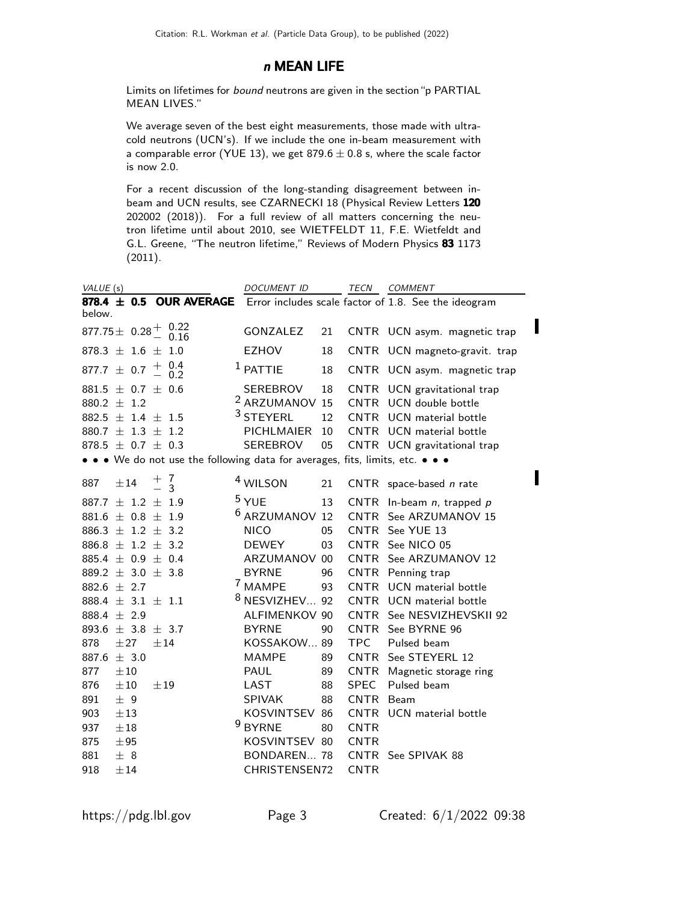#### n MEAN LIFE

Limits on lifetimes for bound neutrons are given in the section"p PARTIAL MEAN LIVES."

We average seven of the best eight measurements, those made with ultracold neutrons (UCN's). If we include the one in-beam measurement with a comparable error (YUE 13), we get  $879.6 \pm 0.8$  s, where the scale factor is now 2.0.

For a recent discussion of the long-standing disagreement between inbeam and UCN results, see CZARNECKI 18 (Physical Review Letters 120 202002 (2018)). For a full review of all matters concerning the neutron lifetime until about 2010, see WIETFELDT 11, F.E. Wietfeldt and G.L. Greene, "The neutron lifetime," Reviews of Modern Physics 83 1173 (2011).

| VALUE (s)                                                                   | <b>DOCUMENT ID</b>        |      | TECN        | COMMENT                                              |
|-----------------------------------------------------------------------------|---------------------------|------|-------------|------------------------------------------------------|
| 878.4 $\pm$ 0.5 OUR AVERAGE<br>below.                                       |                           |      |             | Error includes scale factor of 1.8. See the ideogram |
| 877.75 $\pm$ 0.28 $^{+}$ 0.22                                               | GONZALEZ                  | 21   |             | CNTR UCN asym. magnetic trap                         |
| 878.3 $\pm$ 1.6 $\pm$ 1.0                                                   | <b>EZHOV</b>              | 18   |             | CNTR UCN magneto-gravit. trap                        |
| $\begin{array}{c} 0.4 \\ 0.2 \end{array}$<br>$^{+}_{-}$<br>877.7 $\pm$ 0.7  | $1$ PATTIE                | 18   |             | CNTR UCN asym. magnetic trap                         |
| $881.5 \pm 0.7 \pm 0.6$                                                     | SEREBROV                  | 18   |             | CNTR UCN gravitational trap                          |
| 880.2 $\pm$ 1.2                                                             | <sup>2</sup> ARZUMANOV 15 |      |             | CNTR UCN double bottle                               |
| 882.5 $\pm$ 1.4 $\pm$ 1.5                                                   | $3$ STEYERL               | 12   |             | CNTR UCN material bottle                             |
| 880.7 $\pm$ 1.3 $\pm$ 1.2                                                   | <b>PICHLMAIER</b>         | - 10 |             | CNTR UCN material bottle                             |
| 878.5 $\pm$ 0.7 $\pm$ 0.3                                                   | SEREBROV                  | 05   |             | CNTR UCN gravitational trap                          |
| • • We do not use the following data for averages, fits, limits, etc. • • • |                           |      |             |                                                      |
| 7<br>$^{+}_{-}$<br>887<br>±14<br>$\mathcal{E}$                              | <sup>4</sup> WILSON       | 21   |             | CNTR space-based n rate                              |
| 887.7 $\pm$ 1.2 $\pm$ 1.9                                                   | $5$ YUE                   | 13   |             | CNTR In-beam $n$ , trapped $p$                       |
| $881.6 \pm 0.8 \pm 1.9$                                                     | <sup>6</sup> ARZUMANOV 12 |      |             | CNTR See ARZUMANOV 15                                |
| 886.3 $\pm$ 1.2 $\pm$ 3.2                                                   | <b>NICO</b>               | 05   |             | CNTR See YUE 13                                      |
| 886.8 $\pm$ 1.2 $\pm$ 3.2                                                   | <b>DEWEY</b>              | 03   |             | CNTR See NICO 05                                     |
| $885.4 \pm 0.9 \pm 0.4$                                                     | ARZUMANOV 00              |      |             | CNTR See ARZUMANOV 12                                |
| 889.2 $\pm$ 3.0 $\pm$ 3.8                                                   | <b>BYRNE</b>              | 96   |             | CNTR Penning trap                                    |
| 882.6 $\pm$ 2.7                                                             | <sup>7</sup> MAMPE        | 93   |             | CNTR UCN material bottle                             |
| 888.4 $\pm$ 3.1 $\pm$ 1.1                                                   | <sup>8</sup> NESVIZHEV 92 |      |             | CNTR UCN material bottle                             |
| 888.4 $\pm$ 2.9                                                             | ALFIMENKOV 90             |      | CNTR        | See NESVIZHEVSKII 92                                 |
| 893.6 $\pm$ 3.8 $\pm$ 3.7                                                   | <b>BYRNE</b>              | 90   |             | CNTR See BYRNE 96                                    |
| 878<br>±27<br>±14                                                           | KOSSAKOW 89               |      | TPC         | Pulsed beam                                          |
| 887.6 $\pm$ 3.0                                                             | <b>MAMPE</b>              | 89   |             | CNTR See STEYERL 12                                  |
| 877<br>±10                                                                  | <b>PAUL</b>               | 89   |             | CNTR Magnetic storage ring                           |
| 876<br>$\pm 10$<br>±19                                                      | LAST                      | 88   | SPEC        | Pulsed beam                                          |
| ± 9<br>891                                                                  | SPIVAK                    | 88   | CNTR Beam   |                                                      |
| 903<br>$\pm 13$                                                             | KOSVINTSEV 86             |      |             | CNTR UCN material bottle                             |
| 937<br>$\pm 18$                                                             | <sup>9</sup> BYRNE        | 80   | <b>CNTR</b> |                                                      |
| 875<br>±95                                                                  | KOSVINTSEV 80             |      | <b>CNTR</b> |                                                      |
| 881<br>± 8                                                                  | BONDAREN 78               |      |             | CNTR See SPIVAK 88                                   |
| 918<br>±14                                                                  | CHRISTENSEN72             |      | <b>CNTR</b> |                                                      |

I

Π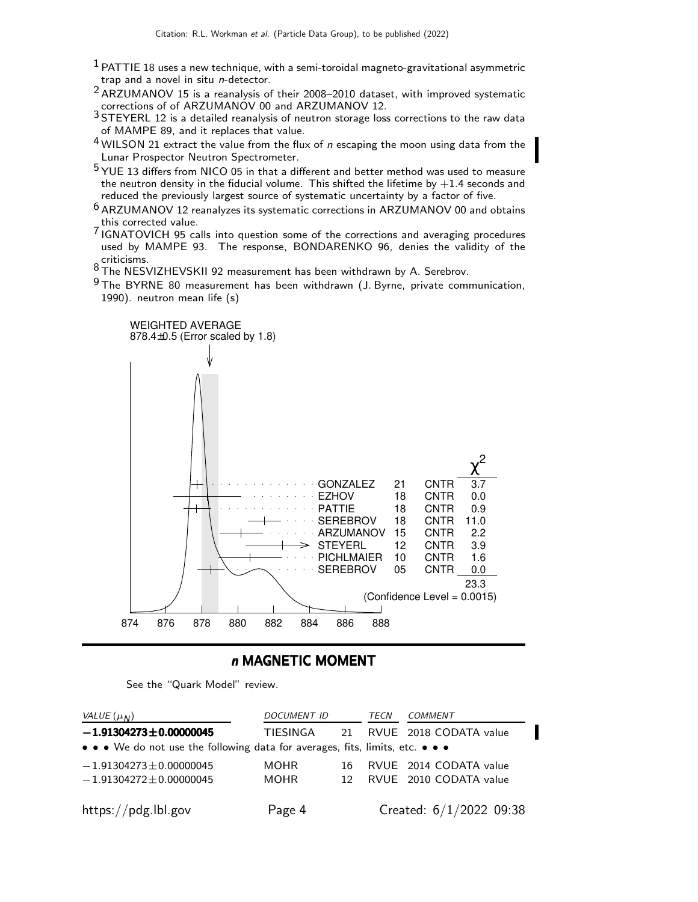- $<sup>1</sup>$  PATTIE 18 uses a new technique, with a semi-toroidal magneto-gravitational asymmetric</sup> trap and a novel in situ n-detector.
- $2$  ARZUMANOV 15 is a reanalysis of their 2008–2010 dataset, with improved systematic corrections of of ARZUMANOV 00 and ARZUMANOV 12.
- 3 STEYERL 12 is a detailed reanalysis of neutron storage loss corrections to the raw data of MAMPE 89, and it replaces that value.
- $4$  WILSON 21 extract the value from the flux of  $n$  escaping the moon using data from the Lunar Prospector Neutron Spectrometer.
- $5$  YUE 13 differs from NICO 05 in that a different and better method was used to measure the neutron density in the fiducial volume. This shifted the lifetime by  $+1.4$  seconds and reduced the previously largest source of systematic uncertainty by a factor of five.
- 6 ARZUMANOV 12 reanalyzes its systematic corrections in ARZUMANOV 00 and obtains this corrected value.
- This corrected value.<br><sup>7</sup> IGNATOVICH 95 calls into question some of the corrections and averaging procedures used by MAMPE 93. The response, BONDARENKO 96, denies the validity of the
- criticisms.<br><sup>8</sup> The NESVIZHEVSKII 92 measurement has been withdrawn by A. Serebrov.
- $9$  The BYRNE 80 measurement has been withdrawn (J. Byrne, private communication, 1990). neutron mean life (s)



#### n MAGNETIC MOMENT

See the "Quark Model" review.

| VALUE $(\mu_N)$                                                                                                       | <b>DOCUMENT ID</b> |                 | TECN | <b>COMMENT</b>            |  |  |
|-----------------------------------------------------------------------------------------------------------------------|--------------------|-----------------|------|---------------------------|--|--|
| $-1.91304273 \pm 0.00000045$                                                                                          | TIESINGA           |                 |      | 21 RVUE 2018 CODATA value |  |  |
| $\bullet \bullet \bullet$ We do not use the following data for averages, fits, limits, etc. $\bullet \bullet \bullet$ |                    |                 |      |                           |  |  |
| $-1.91304273 \pm 0.00000045$                                                                                          | <b>MOHR</b>        | 16.             |      | RVUE 2014 CODATA value    |  |  |
| $-1.91304272 \pm 0.00000045$                                                                                          | <b>MOHR</b>        | 12 <sub>1</sub> |      | RVUE 2010 CODATA value    |  |  |
|                                                                                                                       |                    |                 |      |                           |  |  |
| https://pdg.lbl.gov                                                                                                   | Page 4             |                 |      | Created: $6/1/2022$ 09:38 |  |  |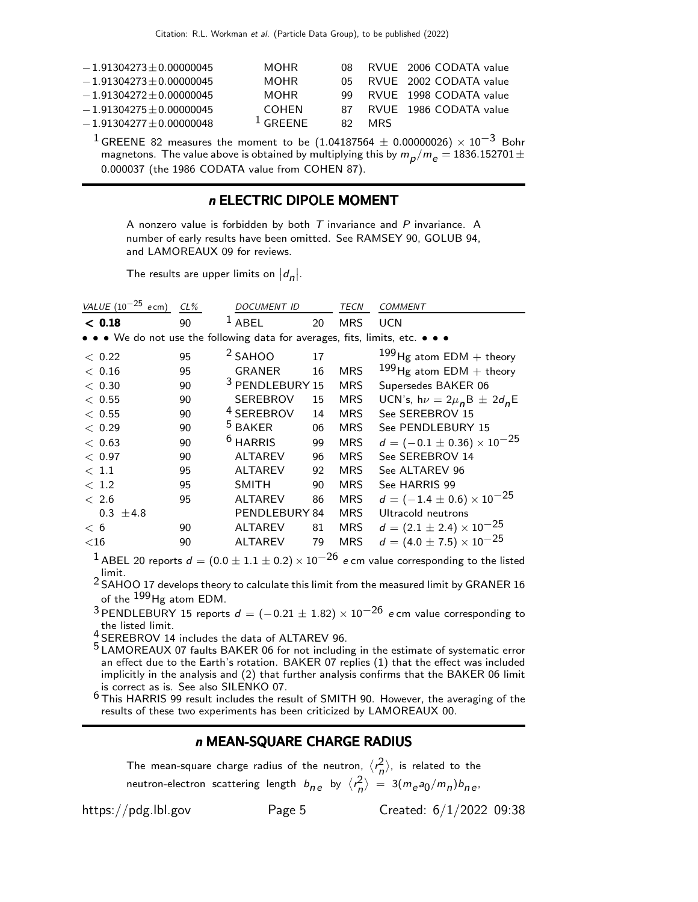| $-1.91304273 \pm 0.00000045$ | <b>MOHR</b>          |     |            | 08 RVUE 2006 CODATA value |
|------------------------------|----------------------|-----|------------|---------------------------|
| $-1.91304273 \pm 0.00000045$ | <b>MOHR</b>          |     |            | 05 RVUE 2002 CODATA value |
| $-1.91304272 + 0.00000045$   | MOHR.                |     |            | 99 RVUE 1998 CODATA value |
| $-1.91304275 \pm 0.00000045$ | <b>COHEN</b>         |     |            | 87 RVUE 1986 CODATA value |
| $-1.91304277 + 0.00000048$   | $\frac{1}{2}$ GRFFNF | 82. | <b>MRS</b> |                           |

<sup>1</sup> GREENE 82 measures the moment to be  $(1.04187564 \pm 0.00000026) \times 10^{-3}$  Bohr magnetons. The value above is obtained by multiplying this by  $m_{\small\rho}/m_{\small e}=$  1836.152701  $\pm$ 0.000037 (the 1986 CODATA value from COHEN 87).

#### n ELECTRIC DIPOLE MOMENT

A nonzero value is forbidden by both  $T$  invariance and  $P$  invariance. A number of early results have been omitted. See RAMSEY 90, GOLUB 94, and LAMOREAUX 09 for reviews.

The results are upper limits on  $|d_n|$ .

| VALUE $(10^{-25}$ ecm)                                                        | $CL\%$ | <b>DOCUMENT ID</b>         |    | TECN       | <b>COMMENT</b>                        |
|-------------------------------------------------------------------------------|--------|----------------------------|----|------------|---------------------------------------|
| < 0.18                                                                        | 90     | $1$ ABEL                   | 20 | <b>MRS</b> | <b>UCN</b>                            |
| • • • We do not use the following data for averages, fits, limits, etc. • • • |        |                            |    |            |                                       |
| < 0.22                                                                        | 95     | $2$ SAHOO                  | 17 |            | $199$ Hg atom EDM + theory            |
| < 0.16                                                                        | 95     | <b>GRANER</b>              | 16 | <b>MRS</b> | $199$ Hg atom EDM + theory            |
| < 0.30                                                                        | 90     | <sup>3</sup> PENDLEBURY 15 |    | <b>MRS</b> | Supersedes BAKER 06                   |
| < 0.55                                                                        | 90     | <b>SEREBROV</b>            | 15 | <b>MRS</b> | UCN's, $h\nu = 2\mu_n B \pm 2d_n E$   |
| < 0.55                                                                        | 90     | <sup>4</sup> SEREBROV      | 14 | <b>MRS</b> | See SEREBROV 15                       |
| < 0.29                                                                        | 90     | <sup>5</sup> BAKER         | 06 | <b>MRS</b> | See PENDLEBURY 15                     |
| < 0.63                                                                        | 90     | <sup>6</sup> HARRIS        | 99 | <b>MRS</b> | $d = (-0.1 \pm 0.36) \times 10^{-25}$ |
| < 0.97                                                                        | 90     | <b>ALTAREV</b>             | 96 | <b>MRS</b> | See SEREBROV 14                       |
| < 1.1                                                                         | 95     | <b>ALTAREV</b>             | 92 | <b>MRS</b> | See ALTAREV 96                        |
| < 1.2                                                                         | 95     | <b>SMITH</b>               | 90 | <b>MRS</b> | See HARRIS 99                         |
| < 2.6                                                                         | 95     | <b>ALTAREV</b>             | 86 | <b>MRS</b> | $d = (-1.4 \pm 0.6) \times 10^{-25}$  |
| $0.3 \pm 4.8$                                                                 |        | PENDLEBURY 84              |    | <b>MRS</b> | Ultracold neutrons                    |
| < 6                                                                           | 90     | <b>ALTAREV</b>             | 81 | MRS        | $d = (2.1 \pm 2.4) \times 10^{-25}$   |
| $<$ 16                                                                        | 90     | <b>ALTAREV</b>             | 79 | <b>MRS</b> | $d = (4.0 \pm 7.5) \times 10^{-25}$   |
| 1.                                                                            |        |                            | ገሬ |            |                                       |

<sup>1</sup> ABEL 20 reports  $d = (0.0 \pm 1.1 \pm 0.2) \times 10^{-26}$  e cm value corresponding to the listed

limit.<br><sup>2</sup> SAHOO 17 develops theory to calculate this limit from the measured limit by GRANER 16 of the  $^{199}$ Hg atom EDM.

3 PENDLEBURY 15 reports  $d = (-0.21 \pm 1.82) \times 10^{-26}$  e cm value corresponding to the listed limit.

the listed limit.<br>4 SEREBROV 14 includes the data of ALTAREV 96.

<sup>5</sup> LAMOREAUX 07 faults BAKER 06 for not including in the estimate of systematic error an effect due to the Earth's rotation. BAKER 07 replies (1) that the effect was included implicitly in the analysis and (2) that further analysis confirms that the BAKER 06 limit is correct as is. See also SILENKO 07.

6 This HARRIS 99 result includes the result of SMITH 90. However, the averaging of the results of these two experiments has been criticized by LAMOREAUX 00.

#### n MEAN-SQUARE CHARGE RADIUS

The mean-square charge radius of the neutron,  $\langle r_n^2 \rangle$ , is related to the neutron-electron scattering length  $b_{n,e}$  by  $\langle r_n^2 \rangle = 3(m_e a_0/m_n) b_{n,e}$ ,

https://pdg.lbl.gov Page 5 Created: 6/1/2022 09:38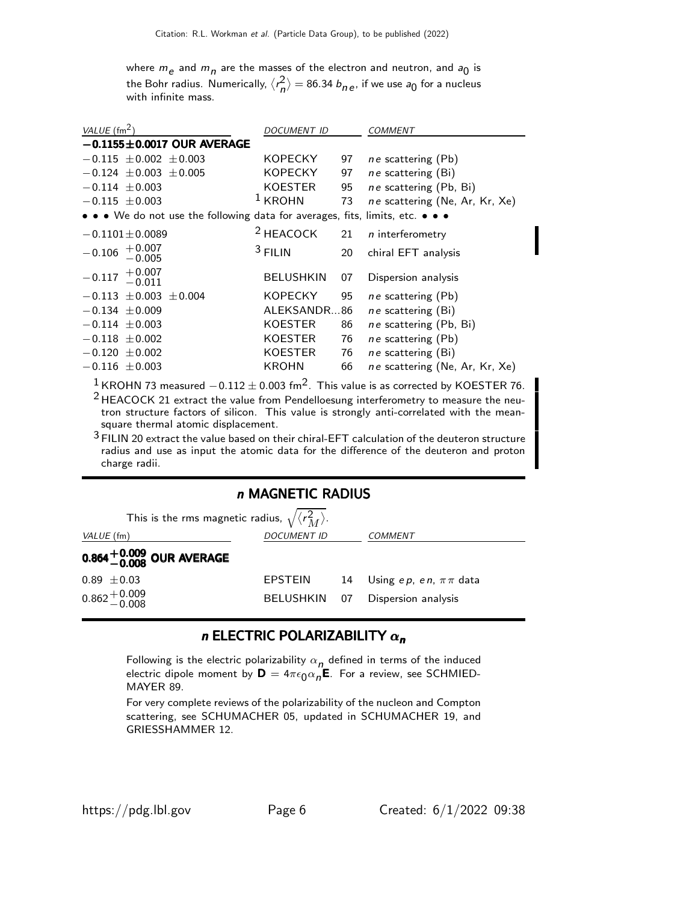where  $m_e$  and  $m_n$  are the masses of the electron and neutron, and  $a_0$  is the Bohr radius. Numerically,  $\langle r_n^2 \rangle = 86.34$   $b_{n\,e}$ , if we use  $a_0$  for a nucleus with infinite mass.

| VALUE $\text{ (fm}^2)$                                                        | <b>DOCUMENT ID</b>   |    | COMMENT                        |
|-------------------------------------------------------------------------------|----------------------|----|--------------------------------|
| $-0.1155 \pm 0.0017$ OUR AVERAGE                                              |                      |    |                                |
| $-0.115 \pm 0.002 \pm 0.003$                                                  | <b>KOPECKY</b>       | 97 | ne scattering (Pb)             |
| $-0.124 \pm 0.003 \pm 0.005$                                                  | <b>KOPECKY</b>       | 97 | ne scattering (Bi)             |
| $-0.114 \pm 0.003$                                                            | KOESTER              | 95 | ne scattering (Pb, Bi)         |
| $-0.115 \pm 0.003$                                                            | $1$ KROHN            | 73 | ne scattering (Ne, Ar, Kr, Xe) |
| • • • We do not use the following data for averages, fits, limits, etc. • • • |                      |    |                                |
| $-0.1101 \pm 0.0089$                                                          | <sup>2</sup> HEACOCK | 21 | $n$ interferometry             |
| $-0.106$ $+0.007$<br>-0.005                                                   | $3$ FILIN            | 20 | chiral EFT analysis            |
| $-0.117$ $+0.007$<br>$-0.011$                                                 | <b>BELUSHKIN</b>     | 07 | Dispersion analysis            |
| $-0.113 \pm 0.003 \pm 0.004$                                                  | <b>KOPECKY</b>       | 95 | <i>ne</i> scattering (Pb)      |
| $-0.134 \pm 0.009$                                                            | ALEKSANDR86          |    | <i>ne</i> scattering (Bi)      |
| $-0.114 \pm 0.003$                                                            | KOESTER              | 86 | ne scattering (Pb, Bi)         |
| $-0.118 \pm 0.002$                                                            | KOESTER              | 76 | <i>ne</i> scattering (Pb)      |
| $-0.120 \pm 0.002$                                                            | KOESTER              | 76 | $ne$ scattering $(Bi)$         |
| $-0.116 \pm 0.003$                                                            | KROHN                | 66 | ne scattering (Ne, Ar, Kr, Xe) |
|                                                                               | ົ                    |    |                                |

<sup>1</sup> KROHN 73 measured  $-0.112 \pm 0.003$  fm<sup>2</sup>. This value is as corrected by KOESTER 76.  $2$  HEACOCK 21 extract the value from Pendelloesung interferometry to measure the neutron structure factors of silicon. This value is strongly anti-correlated with the meansquare thermal atomic displacement.

3 FILIN 20 extract the value based on their chiral-EFT calculation of the deuteron structure radius and use as input the atomic data for the difference of the deuteron and proton charge radii.

#### n MAGNETIC RADIUS

| This is the rms magnetic radius, $\sqrt{\langle r_M^2 \rangle}$ . |                    |  |                                  |  |  |  |  |
|-------------------------------------------------------------------|--------------------|--|----------------------------------|--|--|--|--|
| VALUE (fm)                                                        | <b>DOCUMENT ID</b> |  | COMMENT                          |  |  |  |  |
| $0.864^{+0.009}_{-0.008}$ OUR AVERAGE                             |                    |  |                                  |  |  |  |  |
| $0.89 \pm 0.03$                                                   | EPSTEIN            |  | 14 Using ep, en, $\pi \pi$ data  |  |  |  |  |
| $0.862 + 0.009$                                                   |                    |  | BELUSHKIN 07 Dispersion analysis |  |  |  |  |

## n ELECTRIC POLARIZABILITY  $\alpha_n$

Following is the electric polarizability  $\alpha_{n}$  defined in terms of the induced electric dipole moment by  $\textsf{D}=4\pi\epsilon_{\textsf{O}} \alpha_{\textsf{n}} \textsf{E}$ . For a review, see SCHMIED-MAYER 89.

For very complete reviews of the polarizability of the nucleon and Compton scattering, see SCHUMACHER 05, updated in SCHUMACHER 19, and GRIESSHAMMER 12.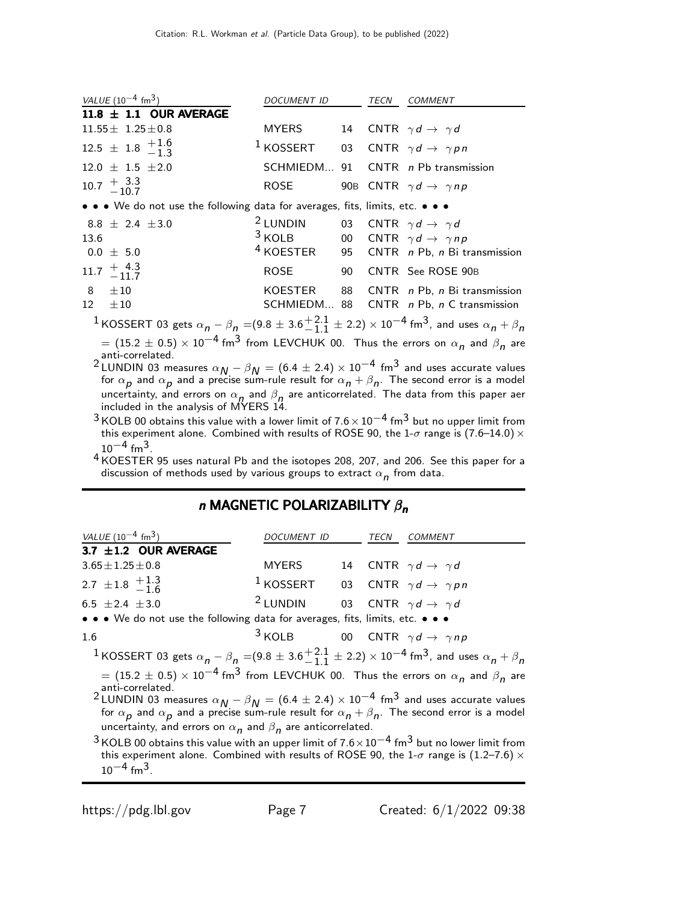|                                                                                                                                                            | VALUE $(10^{-4}$ fm <sup>3</sup> )                                            | DOCUMENT ID                                                    |  | TECN | <b>COMMENT</b>                                                     |
|------------------------------------------------------------------------------------------------------------------------------------------------------------|-------------------------------------------------------------------------------|----------------------------------------------------------------|--|------|--------------------------------------------------------------------|
|                                                                                                                                                            | 11.8 $\pm$ 1.1 OUR AVERAGE                                                    |                                                                |  |      |                                                                    |
|                                                                                                                                                            | $11.55 \pm 1.25 \pm 0.8$                                                      | <b>MYERS</b>                                                   |  |      | 14 CNTR $\gamma d \rightarrow \gamma d$                            |
|                                                                                                                                                            | $12.5 \pm 1.8 \begin{array}{c} +1.6 \\ -1.3 \end{array}$                      | <sup>1</sup> KOSSERT 03 CNTR $\gamma d \rightarrow \gamma p n$ |  |      |                                                                    |
|                                                                                                                                                            | $12.0 \pm 1.5 \pm 2.0$                                                        |                                                                |  |      | SCHMIEDM 91 CNTR n Pb transmission                                 |
|                                                                                                                                                            | 10.7 $\pm \frac{3.3}{10.7}$                                                   | ROSE                                                           |  |      | 90B CNTR $\gamma d \rightarrow \gamma np$                          |
|                                                                                                                                                            | • • • We do not use the following data for averages, fits, limits, etc. • • • |                                                                |  |      |                                                                    |
|                                                                                                                                                            | $8.8 \pm 2.4 \pm 3.0$                                                         | <sup>2</sup> LUNDIN 03 CNTR $\gamma d \rightarrow \gamma d$    |  |      |                                                                    |
| 13.6                                                                                                                                                       |                                                                               | <sup>3</sup> KOLB 00 CNTR $\gamma d \rightarrow \gamma np$     |  |      |                                                                    |
|                                                                                                                                                            | $0.0 \pm 5.0$                                                                 |                                                                |  |      | <sup>4</sup> KOESTER 95 CNTR <i>n</i> Pb, <i>n</i> Bi transmission |
|                                                                                                                                                            | $11.7 \begin{array}{c} +4.3 \\ -11.7 \end{array}$                             |                                                                |  |      | ROSE 90 CNTR See ROSE 90B                                          |
|                                                                                                                                                            | 8 $\pm 10$                                                                    | KOESTER                                                        |  |      | 88 CNTR n Pb, n Bi transmission                                    |
| 12                                                                                                                                                         | $\pm 10$                                                                      |                                                                |  |      | SCHMIEDM 88 CNTR n Pb, n C transmission                            |
| <sup>1</sup> KOSSERT 03 gets $\alpha_n - \beta_n = (9.8 \pm 3.6 \frac{+2.1}{-1.1} \pm 2.2) \times 10^{-4}$ fm <sup>3</sup> , and uses $\alpha_n + \beta_n$ |                                                                               |                                                                |  |      |                                                                    |
|                                                                                                                                                            | $(15.8 \pm 0.5)$ $10^{-4}$ $(3.6 \pm 15)$ $(51.11)$ $(0.8 \pm 1)$             |                                                                |  |      |                                                                    |

 $= (15.2 \pm 0.5) \times 10^{-4}$  fm $^3$  from LEVCHUK 00. Thus the errors on  $\alpha_{\bm n}$  and  $\beta_{\bm n}$  are anti-correlated. 2 LUNDIN 03 measures  $\alpha_{N} - \beta_{N} = (6.4 \pm 2.4) \times 10^{-4}$  fm<sup>3</sup> and uses accurate values

for  $\alpha_{\bm p}$  and  $\alpha_{\bm p}$  and a precise sum-rule result for  $\alpha_{\bm n}+\beta_{\bm n}.$  The second error is a model uncertainty, and errors on  $\alpha_n$  and  $\beta_n$  are anticorrelated. The data from this paper aer included in the analysis of MYERS 14.

 $3$  KOLB 00 obtains this value with a lower limit of  $7.6 \times 10^{-4}$  fm<sup>3</sup> but no upper limit from this experiment alone. Combined with results of ROSE 90, the 1- $\sigma$  range is (7.6–14.0)  $\times$  $10^{-4}$  fm<sup>3</sup>.

4 KOESTER 95 uses natural Pb and the isotopes 208, 207, and 206. See this paper for a discussion of methods used by various groups to extract  $\alpha_{\bm n}$  from data.

## n MAGNETIC POLARIZABILITY  $\beta_n$

| VALUE $(10^{-4}$ fm <sup>3</sup> )                                                                                                                                                                                                                        | DOCUMENT ID                                                   |  | TECN | COMMENT                                 |  |
|-----------------------------------------------------------------------------------------------------------------------------------------------------------------------------------------------------------------------------------------------------------|---------------------------------------------------------------|--|------|-----------------------------------------|--|
| 3.7 $\pm$ 1.2 OUR AVERAGE                                                                                                                                                                                                                                 |                                                               |  |      |                                         |  |
| $3.65 \pm 1.25 \pm 0.8$                                                                                                                                                                                                                                   | <b>MYERS</b>                                                  |  |      | 14 CNTR $\gamma d \rightarrow \gamma d$ |  |
| 2.7 $\pm$ 1.8 $\frac{+1.3}{-1.6}$                                                                                                                                                                                                                         | <sup>1</sup> KOSSERT 03 CNTR $\gamma d \rightarrow \gamma pn$ |  |      |                                         |  |
| 6.5 $\pm 2.4 \pm 3.0$                                                                                                                                                                                                                                     | <sup>2</sup> LUNDIN 03 CNTR $\gamma d \rightarrow \gamma d$   |  |      |                                         |  |
| • • • We do not use the following data for averages, fits, limits, etc. • • •                                                                                                                                                                             |                                                               |  |      |                                         |  |
| 1.6                                                                                                                                                                                                                                                       | <sup>3</sup> KOLB 00 CNTR $\gamma d \rightarrow \gamma np$    |  |      |                                         |  |
| <sup>1</sup> KOSSERT 03 gets $\alpha_n - \beta_n = (9.8 \pm 3.6 \frac{+2.1}{-1.1} \pm 2.2) \times 10^{-4}$ fm <sup>3</sup> , and uses $\alpha_n + \beta_n$                                                                                                |                                                               |  |      |                                         |  |
| $=$ (15.2 $\pm$ 0.5) $\times$ 10 <sup>-4</sup> fm <sup>3</sup> from LEVCHUK 00. Thus the errors on $\alpha_{n}$ and $\beta_{n}$ are<br>anti-correlated.                                                                                                   |                                                               |  |      |                                         |  |
|                                                                                                                                                                                                                                                           |                                                               |  |      |                                         |  |
| <sup>2</sup> LUNDIN 03 measures $\alpha_N - \beta_N = (6.4 \pm 2.4) \times 10^{-4}$ fm <sup>3</sup> and uses accurate values for $\alpha_p$ and $\alpha_p$ and a precise sum-rule result for $\alpha_n + \beta_n$ . The second error is a model           |                                                               |  |      |                                         |  |
| uncertainty, and errors on $\alpha_n$ and $\beta_n$ are anticorrelated.                                                                                                                                                                                   |                                                               |  |      |                                         |  |
| $3$ KOLB 00 obtains this value with an upper limit of $7.6 \times 10^{-4}$ fm <sup>3</sup> but no lower limit from<br>this experiment alone. Combined with results of ROSE 90, the 1- $\sigma$ range is (1.2–7.6) $\times$<br>$10^{-4}$ fm <sup>3</sup> . |                                                               |  |      |                                         |  |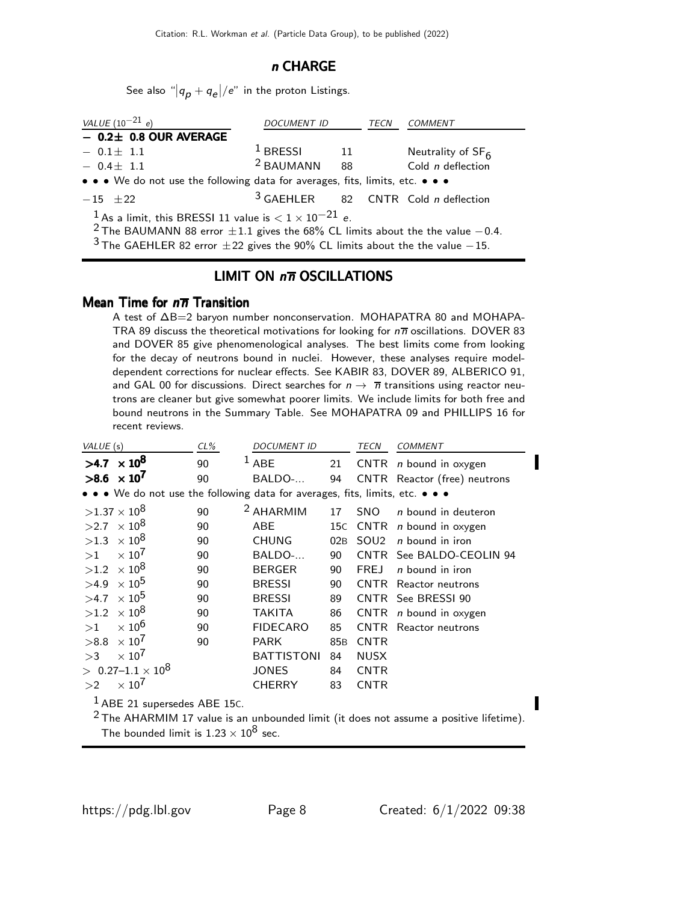#### n CHARGE

See also " $|q_{\boldsymbol{\rho}}+q_{\boldsymbol{e}}|/e$ " in the proton Listings.

| VALUE $(10^{-21} e)$                                                                                                                                                          | <i>DOCUMENT ID</i> |    | TECN | <b>COMMENT</b>                               |  |  |  |
|-------------------------------------------------------------------------------------------------------------------------------------------------------------------------------|--------------------|----|------|----------------------------------------------|--|--|--|
| $-$ 0.2 $\pm$ 0.8 OUR AVERAGE                                                                                                                                                 |                    |    |      |                                              |  |  |  |
| $-0.1 \pm 1.1$                                                                                                                                                                | $1$ BRESSI         | 11 |      | Neutrality of $SF6$                          |  |  |  |
| $-0.4 \pm 1.1$                                                                                                                                                                | $2$ BAUMANN 88     |    |      | Cold $n$ deflection                          |  |  |  |
| • • • We do not use the following data for averages, fits, limits, etc. • • •                                                                                                 |                    |    |      |                                              |  |  |  |
| $-15$ +22                                                                                                                                                                     |                    |    |      | $3$ GAEHLER 82 CNTR Cold <i>n</i> deflection |  |  |  |
| <sup>1</sup> As a limit, this BRESSI 11 value is $< 1 \times 10^{-21}$ e.<br><sup>2</sup> The BAUMANN 88 error $\pm 1.1$ gives the 68% CL limits about the the value $-0.4$ . |                    |    |      |                                              |  |  |  |
| <sup>3</sup> The GAEHLER 82 error $\pm$ 22 gives the 90% CL limits about the the value $-15$ .                                                                                |                    |    |      |                                              |  |  |  |

## LIMIT ON  $n\overline{n}$  OSCILLATIONS

#### Mean Time for  $n\overline{n}$  Transition

A test of ∆B=2 baryon number nonconservation. MOHAPATRA 80 and MOHAPA-TRA 89 discuss the theoretical motivations for looking for  $n\overline{n}$  oscillations. DOVER 83 and DOVER 85 give phenomenological analyses. The best limits come from looking for the decay of neutrons bound in nuclei. However, these analyses require modeldependent corrections for nuclear effects. See KABIR 83, DOVER 89, ALBERICO 91, and GAL 00 for discussions. Direct searches for  $n \to \bar{n}$  transitions using reactor neutrons are cleaner but give somewhat poorer limits. We include limits for both free and bound neutrons in the Summary Table. See MOHAPATRA 09 and PHILLIPS 16 for recent reviews.

| VALUE (s)                                                                                                                                                                           | $CL\%$ | <b>DOCUMENT ID</b>   |                 | TECN             | <b>COMMENT</b>               |  |
|-------------------------------------------------------------------------------------------------------------------------------------------------------------------------------------|--------|----------------------|-----------------|------------------|------------------------------|--|
| $>4.7 \times 10^8$                                                                                                                                                                  | 90     | $1$ ABE              | 21              |                  | CNTR $n$ bound in oxygen     |  |
| $>8.6 \times 10^7$                                                                                                                                                                  | 90     | BALDO-               | 94              |                  | CNTR Reactor (free) neutrons |  |
| • • • We do not use the following data for averages, fits, limits, etc. • • •                                                                                                       |        |                      |                 |                  |                              |  |
| $>1.37\times10^{8}$                                                                                                                                                                 | 90     | <sup>2</sup> AHARMIM | 17              | <b>SNO</b>       | $n$ bound in deuteron        |  |
| $>2.7 \times 10^8$                                                                                                                                                                  | 90     | <b>ABE</b>           | 15C             | CNTR             | <i>n</i> bound in oxygen     |  |
| $>1.3 \times 10^8$                                                                                                                                                                  | 90     | <b>CHUNG</b>         | 02B             | SOU <sub>2</sub> | <i>n</i> bound in iron       |  |
| $\times 10^7$<br>>1                                                                                                                                                                 | 90     | BALDO-               | 90              |                  | CNTR See BALDO-CEOLIN 94     |  |
| $\times$ 10 $^{8}$<br>>1.2                                                                                                                                                          | 90     | <b>BERGER</b>        | 90              | <b>FREJ</b>      | $n$ bound in iron            |  |
| $\times$ 10 $^5$<br>>4.9                                                                                                                                                            | 90     | <b>BRESSI</b>        | 90              |                  | <b>CNTR</b> Reactor neutrons |  |
| $\times$ 10 <sup>5</sup><br>>4.7                                                                                                                                                    | 90     | <b>BRESSI</b>        | 89              |                  | CNTR See BRESSI 90           |  |
| $\times$ 10 $^{8}$<br>>1.2                                                                                                                                                          | 90     | <b>TAKITA</b>        | 86              |                  | CNTR $n$ bound in oxygen     |  |
| $\times$ 10 <sup>6</sup><br>>1                                                                                                                                                      | 90     | <b>FIDECARO</b>      | 85              | <b>CNTR</b>      | Reactor neutrons             |  |
| $\times$ 10 <sup>7</sup><br>>8.8                                                                                                                                                    | 90     | <b>PARK</b>          | 85 <sub>B</sub> | <b>CNTR</b>      |                              |  |
| $\times 10^7$<br>>3                                                                                                                                                                 |        | <b>BATTISTONI</b>    | 84              | <b>NUSX</b>      |                              |  |
| $> 0.27 - 1.1 \times 10^8$                                                                                                                                                          |        | <b>JONES</b>         | 84              | <b>CNTR</b>      |                              |  |
| $\times 10^7$<br>>2                                                                                                                                                                 |        | <b>CHERRY</b>        | 83              | <b>CNTR</b>      |                              |  |
| <sup>1</sup> ABE 21 supersedes ABE 15C.<br>$2$ The AHARMIM 17 value is an unbounded limit (it does not assume a positive lifetime).<br>The bounded limit is $1.23 \times 10^8$ sec. |        |                      |                 |                  |                              |  |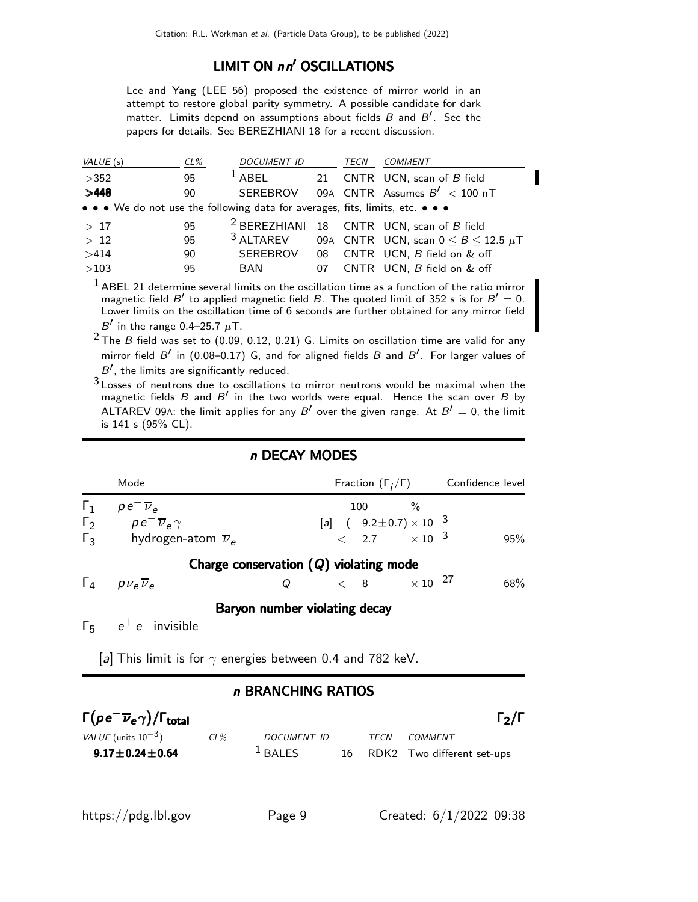## LIMIT ON nn' OSCILLATIONS

Lee and Yang (LEE 56) proposed the existence of mirror world in an attempt to restore global parity symmetry. A possible candidate for dark matter. Limits depend on assumptions about fields  $B$  and  $B'$ . See the papers for details. See BEREZHIANI 18 for a recent discussion.

| VALUE (s)                                                                     | $CL\%$ | <i>DOCUMENT ID</i>   |      | TECN | COMMENT                                                |
|-------------------------------------------------------------------------------|--------|----------------------|------|------|--------------------------------------------------------|
| >352                                                                          | 95     | $1$ ABEL             |      |      | 21 CNTR UCN, scan of B field                           |
| >448                                                                          | 90     |                      |      |      | SEREBROV 09A CNTR Assumes $B' < 100$ nT                |
| • • • We do not use the following data for averages, fits, limits, etc. • • • |        |                      |      |      |                                                        |
| >17                                                                           | 95     |                      |      |      | <sup>2</sup> BEREZHIANI 18 CNTR UCN, scan of $B$ field |
| >12                                                                           | 95     | <sup>3</sup> ALTAREV |      |      | 09A CNTR UCN, scan $0 \leq B \leq 12.5 \mu T$          |
| >414                                                                          | 90     | <b>SEREBROV</b>      | - 08 |      | CNTR UCN, B field on & off                             |
| >103                                                                          | 95     | BAN                  | 07   |      | CNTR UCN, B field on & off                             |
|                                                                               |        |                      |      |      |                                                        |

 $<sup>1</sup>$  ABEL 21 determine several limits on the oscillation time as a function of the ratio mirror</sup> magnetic field  $B'$  to applied magnetic field  $B$ . The quoted limit of 352 s is for  $B' = 0$ . Lower limits on the oscillation time of 6 seconds are further obtained for any mirror field B' in the range 0.4–25.7  $\mu$ T.

 $2$  The B field was set to (0.09, 0.12, 0.21) G. Limits on oscillation time are valid for any mirror field  $B'$  in (0.08–0.17) G, and for aligned fields  $B$  and  $B'$ . For larger values of  $B'$ , the limits are significantly reduced.

3 Losses of neutrons due to oscillations to mirror neutrons would be maximal when the magnetic fields B and B' in the two worlds were equal. Hence the scan over B by ALTAREV 09A: the limit applies for any B' over the given range. At  $B' = 0$ , the limit is 141 s (95% CL).

## n DECAY MODES

|            | Mode                                                              |                                          |     |                                          | Fraction $(\Gamma_i/\Gamma)$ Confidence level |     |
|------------|-------------------------------------------------------------------|------------------------------------------|-----|------------------------------------------|-----------------------------------------------|-----|
| $\Gamma_1$ | $pe^{\overline{v}}$<br>$\Gamma_2$ $p e^- \overline{\nu}_e \gamma$ |                                          | 100 | $[a]$ ( $9.2 \pm 0.7$ ) $\times 10^{-3}$ |                                               |     |
| $\Gamma_3$ | hydrogen-atom $\overline{\nu}_e$                                  |                                          |     | $< 2.7 \times 10^{-3}$                   |                                               | 95% |
|            |                                                                   | Charge conservation $(Q)$ violating mode |     |                                          |                                               |     |
|            | $\Gamma_4$ $p\nu_e \overline{\nu}_e$                              | Q                                        |     | $< 8$ $\times$ 10 <sup>-27</sup>         |                                               | 68% |
|            |                                                                   | Baryon number violating decay            |     |                                          |                                               |     |
|            | $\Gamma_5$ $e^+e^-$ invisible                                     |                                          |     |                                          |                                               |     |

[a] This limit is for  $\gamma$  energies between 0.4 and 782 keV.

## n BRANCHING RATIOS

| $\Gamma(\rho e^-\overline{\nu}_e\gamma)/\Gamma_{\rm total}$ |        |                    |      | $\Gamma_2/\Gamma$             |
|-------------------------------------------------------------|--------|--------------------|------|-------------------------------|
| <i>VALUE</i> (units $10^{-3}$ )                             | $CL\%$ | <i>DOCUMENT ID</i> | TECN | <i>COMMENT</i>                |
| $9.17 \pm 0.24 \pm 0.64$                                    |        | $L$ BALES          |      | 16 RDK2 Two different set-ups |

I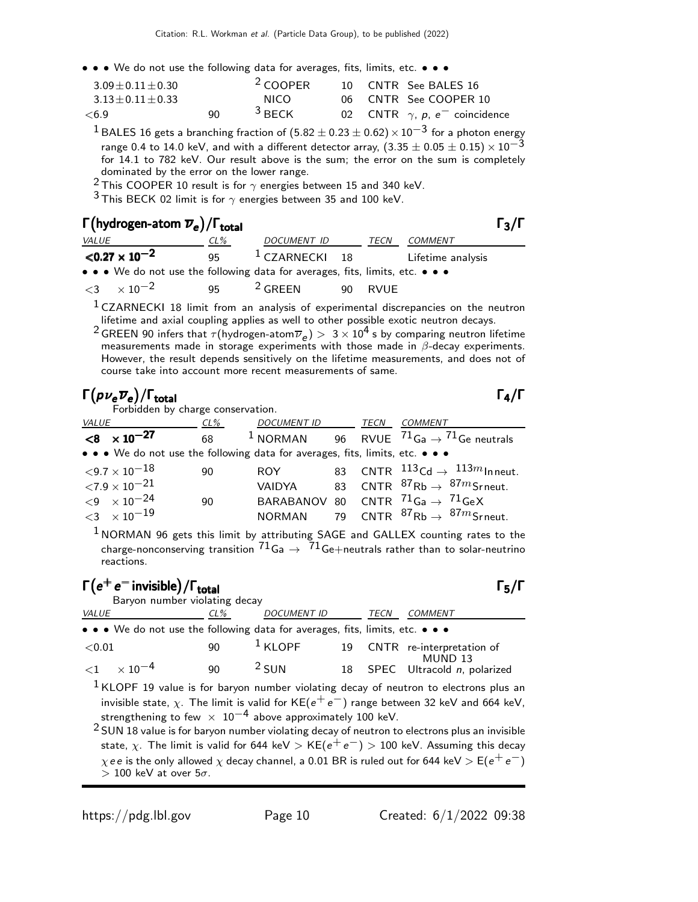• • • We do not use the following data for averages, fits, limits, etc. • • •

| $3.09 + 0.11 + 0.30$ |     | <sup>2</sup> COOPER |  | 10 CNTR See BALES 16                             |
|----------------------|-----|---------------------|--|--------------------------------------------------|
| $3.13 + 0.11 + 0.33$ |     | NICO.               |  | 06 CNTR See COOPER 10                            |
| <6.9                 | 90. | $3$ BECK            |  | 02 CNTR $\gamma$ , p, e <sup>-</sup> coincidence |

<sup>1</sup> BALES 16 gets a branching fraction of (5.82  $\pm$  0.23  $\pm$  0.62)  $\times$  10<sup>-3</sup> for a photon energy range 0.4 to 14.0 keV, and with a different detector array,  $(3.35 \pm 0.05 \pm 0.15) \times 10^{-3}$ for 14.1 to 782 keV. Our result above is the sum; the error on the sum is completely dominated by the error on the lower range.

<sup>2</sup> This COOPER 10 result is for  $\gamma$  energies between 15 and 340 keV.

 $3$  This BECK 02 limit is for  $\gamma$  energies between 35 and 100 keV.

# Γ(hydrogen-atom  $\overline{\nu}_e$ )/Γ<sub>total</sub> Γ3/Γ

| $\Gamma$ (hydrogen-atom $\overline{\nu}_e$ )/ $\Gamma_{total}$ |                                                                               |        |                   |  |             |                   |  |  |  |
|----------------------------------------------------------------|-------------------------------------------------------------------------------|--------|-------------------|--|-------------|-------------------|--|--|--|
| <i>VALUE</i>                                                   |                                                                               | $CL\%$ | DOCUMENT ID       |  | <i>TECN</i> | COMMENT           |  |  |  |
|                                                                | ${<}0.27 \times 10^{-2}$                                                      | 95.    | $^1$ CZARNECKI 18 |  |             | Lifetime analysis |  |  |  |
|                                                                | • • • We do not use the following data for averages, fits, limits, etc. • • • |        |                   |  |             |                   |  |  |  |
|                                                                | $<$ 3 $\times$ 10 <sup>-2</sup>                                               | 95.    | $2$ GREEN         |  | 90 RVUE     |                   |  |  |  |

 $1$  CZARNECKI 18 limit from an analysis of experimental discrepancies on the neutron lifetime and axial coupling applies as well to other possible exotic neutron decays.

 $^2$  GREEN 90 infers that  $\tau$ (hydrogen-atom $\overline{\nu}_e)>~3\times 10^4$  s by comparing neutron lifetime measurements made in storage experiments with those made in  $\beta$ -decay experiments. However, the result depends sensitively on the lifetime measurements, and does not of course take into account more recent measurements of same.

# $\Gamma(p\nu_e \overline{\nu}_e)/\Gamma_{\rm total}$  Γ<sub>4</sub>/Γ

Forbidden by charge conservation.

| <i>VALUE</i> |                                                                               | CL% | DOCUMENT ID TECN |  | <b>COMMENT</b>                                                                 |
|--------------|-------------------------------------------------------------------------------|-----|------------------|--|--------------------------------------------------------------------------------|
|              | $< 8 \times 10^{-27}$                                                         | 68  |                  |  | <sup>1</sup> NORMAN 96 RVUE $^{71}$ Ga $\rightarrow$ <sup>71</sup> Ge neutrals |
|              | • • • We do not use the following data for averages, fits, limits, etc. • • • |     |                  |  |                                                                                |
|              | ${<}9.7\times10^{-18}$                                                        | 90  | <b>ROY</b>       |  | 83 CNTR $^{113}$ Cd $\rightarrow$ $^{113m}$ Inneut.                            |
|              | ${<}7.9\times10^{-21}$                                                        |     | <b>VAIDYA</b>    |  | 83 CNTR ${}^{87}$ Rb $\rightarrow$ ${}^{87m}$ Srneut.                          |
|              | ${<}9 \times 10^{-24}$                                                        | 90  |                  |  | BARABANOV 80 CNTR ${}^{71}$ Ga $\rightarrow {}^{71}$ GeX                       |
|              | $<$ 3 $\times$ 10 $^{-19}$                                                    |     |                  |  | NORMAN 79 CNTR ${}^{87}$ Rb $\rightarrow {}^{87m}$ Srneut.                     |
|              |                                                                               |     |                  |  |                                                                                |

 $1$  NORMAN 96 gets this limit by attributing SAGE and GALLEX counting rates to the charge-nonconserving transition  $^{71}$ Ga  $\rightarrow$   $~^{71}$ Ge $+$ neutrals rather than to solar-neutrino reactions.

#### $\Gamma(e^+e^-)$  invisible $)/\Gamma_{\text{total}}$  and the contract of the contract of the contract of the contract of the contract of the contract of the contract of the contract of the contract of the contract of the contract of the cont /Γ<sub>total</sub> Γ<sub>5</sub>/Γ Baryon number violating decay

| <i>VALUE</i>                                                                  | $CL\%$       | <b>DOCUMENT ID</b> | TECN | <b>COMMENT</b>                            |
|-------------------------------------------------------------------------------|--------------|--------------------|------|-------------------------------------------|
| • • • We do not use the following data for averages, fits, limits, etc. • • • |              |                    |      |                                           |
| ${<}0.01$                                                                     | 90           | $1$ KLOPF          |      | 19 CNTR re-interpretation of              |
| $<$ 1 $\times$ 10 $^{-4}$                                                     | $90^{\circ}$ | $2$ SUN            |      | MUND 13<br>18 SPEC Ultracold n, polarized |

 $<sup>1</sup>$  KLOPF 19 value is for baryon number violating decay of neutron to electrons plus an</sup> invisible state,  $\chi$ . The limit is valid for KE( $e^+e^-$ ) range between 32 keV and 664 keV, strengthening to few  $\times$  10<sup>-4</sup> above approximately 100 keV.

 $2$  SUN 18 value is for baryon number violating decay of neutron to electrons plus an invisible state,  $\chi$ . The limit is valid for 644 keV > KE( $e^+e^-$ ) > 100 keV. Assuming this decay  $\chi$ ee is the only allowed  $\chi$  decay channel, a 0.01 BR is ruled out for 644 keV  $>$  E( $e^+e^-$ )  $> 100$  keV at over  $5\sigma$ .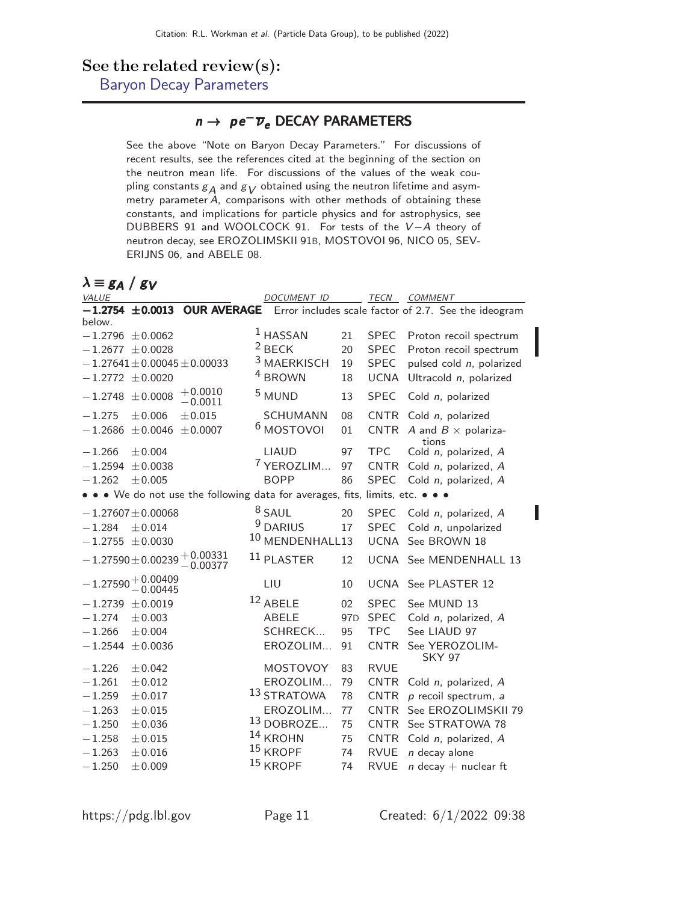# See the related review(s):

[Baryon Decay Parameters](http://pdg.lbl.gov/2022/reviews/rpp2021-rev-baryon-semileptonic-decay.pdf)

## $n \to p e^- \overline{\nu}_e$  DECAY PARAMETERS

See the above "Note on Baryon Decay Parameters." For discussions of recent results, see the references cited at the beginning of the section on the neutron mean life. For discussions of the values of the weak coupling constants  $g_A$  and  $g_V$  obtained using the neutron lifetime and asymmetry parameter A, comparisons with other methods of obtaining these constants, and implications for particle physics and for astrophysics, see DUBBERS 91 and WOOLCOCK 91. For tests of the V −A theory of neutron decay, see EROZOLIMSKII 91B, MOSTOVOI 96, NICO 05, SEV-ERIJNS 06, and ABELE 08.

| $\lambda \equiv g_A / g_V$                                                    |                        |                 |             |                                                                         |
|-------------------------------------------------------------------------------|------------------------|-----------------|-------------|-------------------------------------------------------------------------|
| VALUE                                                                         | DOCUMENT ID            |                 | TECN        | COMMENT                                                                 |
| $-1.2754 \pm 0.0013$                                                          |                        |                 |             | <b>OUR AVERAGE</b> Error includes scale factor of 2.7. See the ideogram |
| below.                                                                        |                        |                 |             |                                                                         |
| $-1.2796$<br>± 0.0062                                                         | $1$ HASSAN             | 21              | <b>SPEC</b> | Proton recoil spectrum                                                  |
| $-1.2677 \pm 0.0028$                                                          | $2$ BECK               | 20              | <b>SPEC</b> | Proton recoil spectrum                                                  |
| $-1.27641 \pm 0.00045 \pm 0.00033$                                            | <sup>3</sup> MAERKISCH | 19              | <b>SPEC</b> | pulsed cold n, polarized                                                |
| $-1.2772 \pm 0.0020$                                                          | <sup>4</sup> BROWN     | 18              | <b>UCNA</b> | Ultracold n, polarized                                                  |
| $+0.0010$<br>$-1.2748 \pm 0.0008$<br>$-0.0011$                                | <sup>5</sup> MUND      | 13              | <b>SPEC</b> | Cold n, polarized                                                       |
| $-1.275$<br>$\pm 0.015$<br>± 0.006                                            | <b>SCHUMANN</b>        | 08              | <b>CNTR</b> | Cold n, polarized                                                       |
| ± 0.0007<br>$-1.2686 \pm 0.0046$                                              | <sup>6</sup> MOSTOVOI  | 01              | <b>CNTR</b> | A and $B \times$ polariza-                                              |
| $-1.266$<br>± 0.004                                                           | <b>LIAUD</b>           | 97              | <b>TPC</b>  | tions<br>Cold n, polarized, A                                           |
| $-1.2594$<br>± 0.0038                                                         | <sup>7</sup> YEROZLIM  | 97              | <b>CNTR</b> | Cold n, polarized, A                                                    |
| $-1.262$<br>± 0.005                                                           | <b>BOPP</b>            | 86              | <b>SPEC</b> | Cold n, polarized, A                                                    |
| • • • We do not use the following data for averages, fits, limits, etc. • • • |                        |                 |             |                                                                         |
| $-1.27607 \pm 0.00068$                                                        | $8$ SAUL               | 20              | <b>SPEC</b> | Cold n, polarized, A                                                    |
| $-1.284$<br>± 0.014                                                           | 9<br><b>DARIUS</b>     | 17              | <b>SPEC</b> | Cold n, unpolarized                                                     |
| $-1.2755 \pm 0.0030$                                                          | 10 MENDENHALL13        |                 | <b>UCNA</b> | See BROWN 18                                                            |
| $-1.27590 \pm 0.00239 \, {+}\, 0.00331 \ -0.00377$                            | <sup>11</sup> PLASTER  | 12              |             | UCNA See MENDENHALL 13                                                  |
| $-1.27590 + 0.00409$<br>$-0.00445$                                            | LIU                    | 10              | UCNA        | See PLASTER 12                                                          |
| ± 0.0019<br>$-1.2739$                                                         | 12 ABELE               | 02              | <b>SPEC</b> | See MUND 13                                                             |
| $-1.274$<br>± 0.003                                                           | <b>ABELE</b>           | 97 <sub>D</sub> | <b>SPEC</b> | Cold n, polarized, A                                                    |
| $-1.266$<br>± 0.004                                                           | SCHRECK                | 95              | <b>TPC</b>  | See LIAUD 97                                                            |
| $-1.2544$<br>± 0.0036                                                         | EROZOLIM               | 91              | <b>CNTR</b> | See YEROZOLIM-<br><b>SKY 97</b>                                         |
| $-1.226$<br>± 0.042                                                           | <b>MOSTOVOY</b>        | 83              | <b>RVUE</b> |                                                                         |
| $-1.261$<br>$\pm 0.012$                                                       | EROZOLIM               | 79              | <b>CNTR</b> | Cold n, polarized, A                                                    |
| $-1.259$<br>$\pm 0.017$                                                       | 13 STRATOWA            | 78              | <b>CNTR</b> | $p$ recoil spectrum, $a$                                                |
| $-1.263$<br>$\pm 0.015$                                                       | EROZOLIM               | 77              | <b>CNTR</b> | See EROZOLIMSKII 79                                                     |
| $-1.250$<br>± 0.036                                                           | 13 DOBROZE             | 75              | <b>CNTR</b> | See STRATOWA 78                                                         |
| $-1.258$<br>$\pm 0.015$                                                       | 14<br><b>KROHN</b>     | 75              | <b>CNTR</b> | Cold n, polarized, A                                                    |
| $-1.263$<br>$\pm 0.016$                                                       | 15<br><b>KROPF</b>     | 74              | <b>RVUE</b> | $n$ decay alone                                                         |
| $-1.250$<br>± 0.009                                                           | $15$ KROPF             | 74              | <b>RVUE</b> | $n$ decay + nuclear ft                                                  |

ι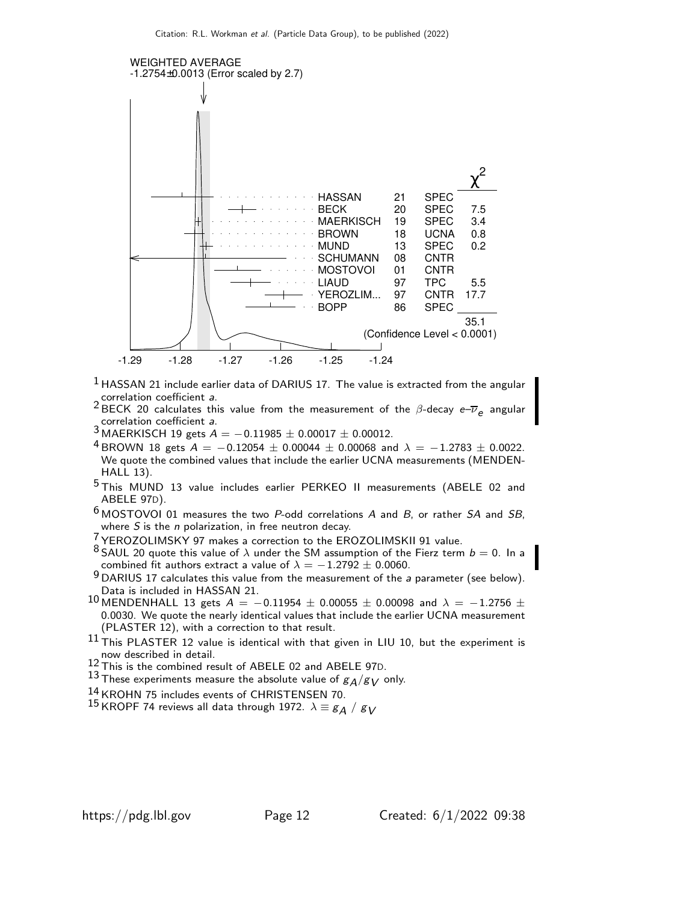

- $1$  HASSAN 21 include earlier data of DARIUS 17. The value is extracted from the angular correlation coefficient a.
- <sup>2</sup> BECK 20 calculates this value from the measurement of the  $\beta$ -decay  $e^{-\overline{\nu}}e$  angular correlation coefficient a.
- $3$  MAERKISCH 19 gets  $A = -0.11985 \pm 0.00017 \pm 0.00012$ .
- 4 BROWN 18 gets  $A = -0.12054 \pm 0.00044 \pm 0.00068$  and  $\lambda = -1.2783 \pm 0.0022$ . We quote the combined values that include the earlier UCNA measurements (MENDEN-HALL 13).
- 5 This MUND 13 value includes earlier PERKEO II measurements (ABELE 02 and ABELE 97D).
- $6$  MOSTOVOI 01 measures the two P-odd correlations A and B, or rather SA and SB, where  $S$  is the  $n$  polarization, in free neutron decay.
- <sup>7</sup> YEROZOLIMSKY 97 makes a correction to the EROZOLIMSKII 91 value.
- <sup>8</sup> SAUL 20 quote this value of  $\lambda$  under the SM assumption of the Fierz term  $b = 0$ . In a combined fit authors extract a value of  $\lambda = -1.2792 \pm 0.0060$ .
- $9$  DARIUS 17 calculates this value from the measurement of the a parameter (see below). Data is included in HASSAN 21.
- 10 MENDENHALL 13 gets  $A = -0.11954 \pm 0.00055 \pm 0.00098$  and  $\lambda = -1.2756 \pm 0.00098$ 0.0030. We quote the nearly identical values that include the earlier UCNA measurement (PLASTER 12), with a correction to that result.
- $11$  This PLASTER 12 value is identical with that given in LIU 10, but the experiment is now described in detail.
- $^{12}$  This is the combined result of ABELE 02 and ABELE 97D.
- 13 These experiments measure the absolute value of  $g_A/g_V$  only.
- 14 KROHN 75 includes events of CHRISTENSEN 70.
- <sup>15</sup> KROPF 74 reviews all data through 1972.  $\lambda \equiv g_A / g_V$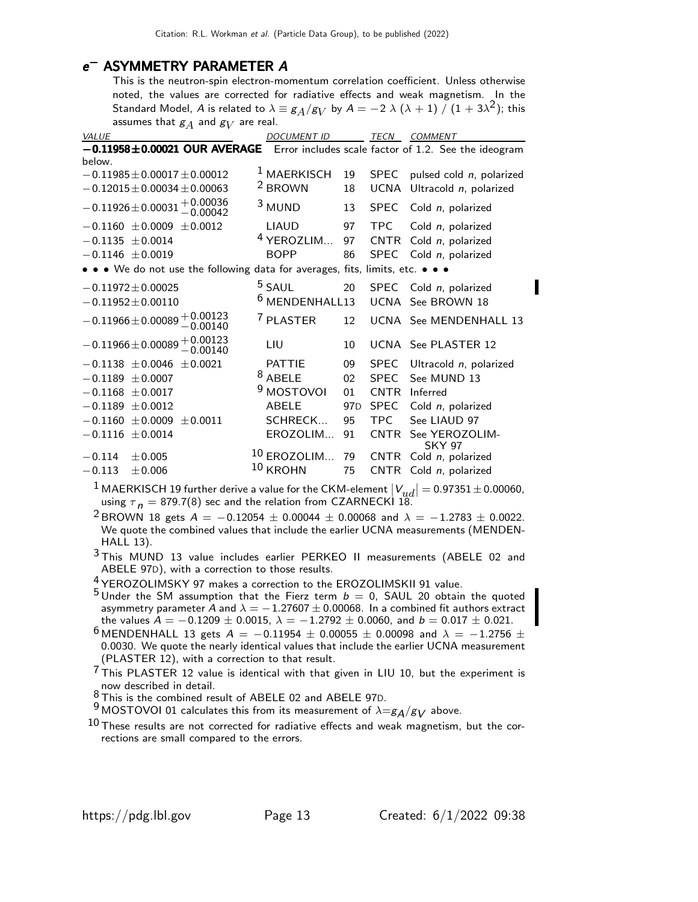# e<sup>-</sup> ASYMMETRY PARAMETER A

This is the neutron-spin electron-momentum correlation coefficient. Unless otherwise noted, the values are corrected for radiative effects and weak magnetism. In the Standard Model,  $A$  is related to  $\lambda \equiv g_A/g_V$  by  $A = -2$   $\lambda$   $(\lambda + 1)$   $\cancel{/}$   $(1 + 3\lambda^2)$ ; this assumes that  $\mathcal{g}_{A}$  and  $\mathcal{g}_{V}$  are real.

| ັ∕น<br>VALUE                                                                      | <b>DOCUMENT ID</b>        |                 | TECN        | <b>COMMENT</b>                  |
|-----------------------------------------------------------------------------------|---------------------------|-----------------|-------------|---------------------------------|
| -0.11958±0.00021 OUR AVERAGE Error includes scale factor of 1.2. See the ideogram |                           |                 |             |                                 |
| below.                                                                            |                           |                 |             |                                 |
| $-0.11985 \pm 0.00017 \pm 0.00012$                                                | <sup>1</sup> MAERKISCH    | 19              | <b>SPEC</b> | pulsed cold $n$ , polarized     |
| $-0.12015 \pm 0.00034 \pm 0.00063$                                                | <sup>2</sup> BROWN        | 18              | <b>UCNA</b> | Ultracold n, polarized          |
| $-0.11926 \pm 0.00031 \, +0.00036 \ -0.00042$                                     | <sup>3</sup> MUND         | 13              | <b>SPEC</b> | Cold n, polarized               |
| $-0.1160 \pm 0.0009 \pm 0.0012$                                                   | <b>LIAUD</b>              | 97              | <b>TPC</b>  | Cold n, polarized               |
| $-0.1135 \pm 0.0014$                                                              | <sup>4</sup> YEROZLIM     | 97              | <b>CNTR</b> | Cold n, polarized               |
| $-0.1146 \pm 0.0019$                                                              | <b>BOPP</b>               | 86              | <b>SPEC</b> | Cold n, polarized               |
| • • • We do not use the following data for averages, fits, limits, etc. • • •     |                           |                 |             |                                 |
| $-0.11972 \pm 0.00025$                                                            | <sup>5</sup> SAUL         | 20              | <b>SPEC</b> | Cold n, polarized               |
| $-0.11952 \pm 0.00110$                                                            | <sup>6</sup> MENDENHALL13 |                 |             | UCNA See BROWN 18               |
| $-0.11966 \pm 0.00089 \, {}^{+\, 0.00123}_{-\, 0.00140}$                          | <sup>7</sup> PLASTER      | 12              |             | UCNA See MENDENHALL 13          |
| $-0.11966 \pm 0.00089 \, {+}\, 0.00123 \ -0.00140$                                | LIU                       | 10              |             | UCNA See PLASTER 12             |
| $-0.1138 \pm 0.0046$<br>± 0.0021                                                  | <b>PATTIE</b>             | 09              | <b>SPEC</b> | Ultracold n, polarized          |
| $-0.1189 \pm 0.0007$                                                              | $8$ ABELE                 | 02              | <b>SPEC</b> | See MUND 13                     |
| $-0.1168 \pm 0.0017$                                                              | 9<br><b>MOSTOVOI</b>      | 01              | <b>CNTR</b> | Inferred                        |
| $-0.1189 \pm 0.0012$                                                              | <b>ABELE</b>              | 97 <sub>D</sub> | <b>SPEC</b> | Cold n, polarized               |
| $-0.1160 \pm 0.0009 \pm 0.0011$                                                   | SCHRECK                   | 95              | TPC.        | See LIAUD 97                    |
| $-0.1116 \pm 0.0014$                                                              | EROZOLIM                  | 91              | <b>CNTR</b> | See YEROZOLIM-<br><b>SKY 97</b> |
| $-0.114$<br>± 0.005                                                               | <sup>10</sup> EROZOLIM    | 79              | <b>CNTR</b> | Cold n, polarized               |
| $-0.113$<br>± 0.006                                                               | $10$ KROHN                | 75              | <b>CNTR</b> | Cold n, polarized               |

<sup>1</sup> MAERKISCH 19 further derive a value for the CKM-element  $|V_{ud}| = 0.97351 \pm 0.00060$ , using  $\tau_n = 879.7(8)$  sec and the relation from CZARNECKI 18.

<sup>2</sup> BROWN 18 gets  $A = -0.12054 \pm 0.00044 \pm 0.00068$  and  $\lambda = -1.2783 \pm 0.0022$ . We quote the combined values that include the earlier UCNA measurements (MENDEN-HALL 13).

3 This MUND 13 value includes earlier PERKEO II measurements (ABELE 02 and ABELE 97D), with a correction to those results.

4 YEROZOLIMSKY 97 makes a correction to the EROZOLIMSKII 91 value.

- $5$  Under the SM assumption that the Fierz term  $b = 0$ , SAUL 20 obtain the quoted asymmetry parameter A and  $\lambda = -1.27607 \pm 0.00068$ . In a combined fit authors extract the values  $A = -0.1209 \pm 0.0015$ ,  $\lambda = -1.2792 \pm 0.0060$ , and  $b = 0.017 \pm 0.021$ .
- $^{6}$  MENDENHALL 13 gets  $A = -0.11954 \pm 0.00055 \pm 0.00098$  and  $\lambda = -1.2756 \pm 0.00098$ 0.0030. We quote the nearly identical values that include the earlier UCNA measurement (PLASTER 12), with a correction to that result.
- $7$  This PLASTER 12 value is identical with that given in LIU 10, but the experiment is now described in detail. 8 This is the combined result of ABELE 02 and ABELE 97D.

9 MOSTOVOI 01 calculates this from its measurement of  $\lambda = g_A/g_V$  above.

 $10$  These results are not corrected for radiative effects and weak magnetism, but the corrections are small compared to the errors.

П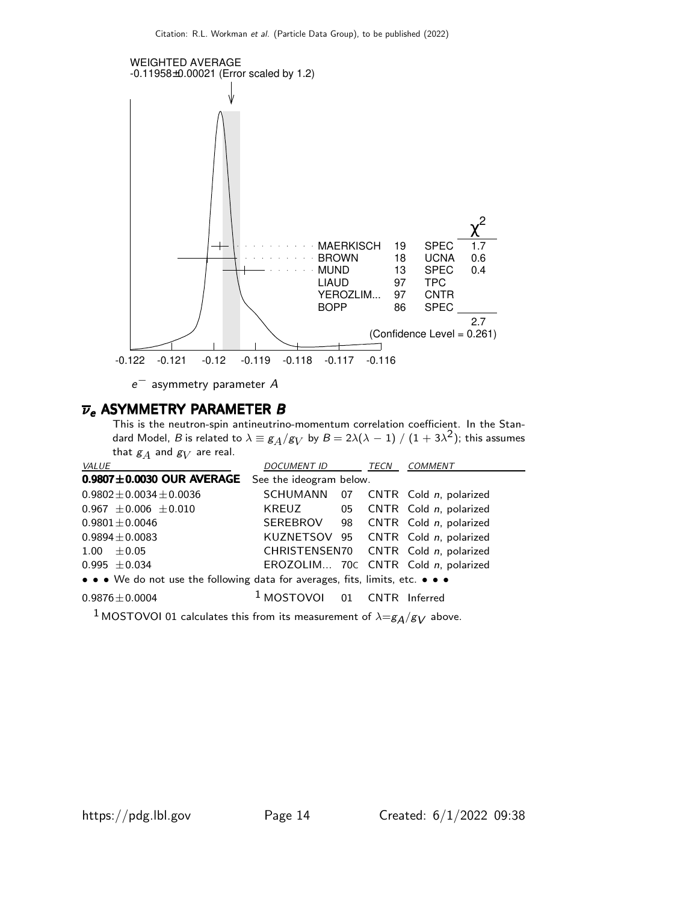

 $e^-$  asymmetry parameter  $A$ 

#### $\overline{\nu}_e$  ASYMMETRY PARAMETER B

This is the neutron-spin antineutrino-momentum correlation coefficient. In the Standard Model,  $B$  is related to  $\lambda\equiv g_A/g_V$  by  $B=2\lambda(\lambda-1)\mathbin{/} (1+3\lambda^2)$ ; this assumes that  $\mathcal{g}_A$  and  $\mathcal{g}_V$  are real.

| <b>VALUE</b>                                                                  | <i>DOCUMENT ID</i>                     |  | TECN | <b>COMMENT</b>                       |  |  |  |
|-------------------------------------------------------------------------------|----------------------------------------|--|------|--------------------------------------|--|--|--|
| $0.9807 \pm 0.0030$ OUR AVERAGE                                               | See the ideogram below.                |  |      |                                      |  |  |  |
| $0.9802 \pm 0.0034 \pm 0.0036$                                                |                                        |  |      | SCHUMANN 07 CNTR Cold n, polarized   |  |  |  |
| $0.967 \pm 0.006 \pm 0.010$                                                   |                                        |  |      | KREUZ 05 CNTR Cold n, polarized      |  |  |  |
| $0.9801 \pm 0.0046$                                                           |                                        |  |      | SEREBROV 98 CNTR Cold n, polarized   |  |  |  |
| $0.9894 \pm 0.0083$                                                           |                                        |  |      | KUZNETSOV 95 CNTR Cold n, polarized  |  |  |  |
| $1.00 \pm 0.05$                                                               |                                        |  |      | CHRISTENSEN70 CNTR Cold n, polarized |  |  |  |
| $0.995 \pm 0.034$                                                             |                                        |  |      | EROZOLIM 70C CNTR Cold n, polarized  |  |  |  |
| • • • We do not use the following data for averages, fits, limits, etc. • • • |                                        |  |      |                                      |  |  |  |
| $0.9876 \pm 0.0004$                                                           | <sup>1</sup> MOSTOVOI 01 CNTR Inferred |  |      |                                      |  |  |  |

<sup>1</sup> MOSTOVOI 01 calculates this from its measurement of  $\lambda = g_A/g_V$  above.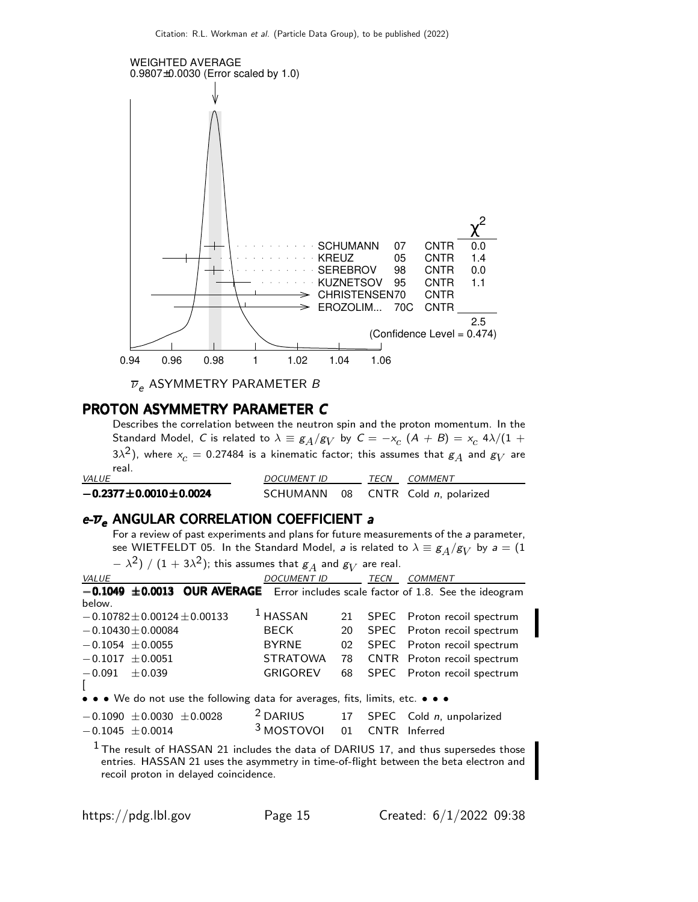

 $\overline{\nu}_e$  ASYMMETRY PARAMETER B

#### PROTON ASYMMETRY PARAMETER C

Describes the correlation between the neutron spin and the proton momentum. In the Standard Model, C is related to  $\lambda \equiv g_A/g_V$  by  $C = -x_c$   $(A + B) = x_c$  4 $\lambda/(1 +$ 3 $\lambda^2$ ), where  $x_c=$  0.27484 is a kinematic factor; this assumes that  $\overline{\mathcal{g}_A}$  and  $\overline{\mathcal{g}_V}$  are real.

| <i>VALUE</i>                    | <i>DOCUMENT ID</i> | TECN | COMMENT                            |
|---------------------------------|--------------------|------|------------------------------------|
| $-0.2377 \pm 0.0010 \pm 0.0024$ |                    |      | SCHUMANN 08 CNTR Cold n, polarized |

#### $e$ - $\overline{\nu}_e$  ANGULAR CORRELATION COEFFICIENT a

For a review of past experiments and plans for future measurements of the a parameter, see WIETFELDT 05. In the Standard Model, *a* is related to  $\lambda \equiv g_A/g_V$  by  $a = (1, 1)$ 

| $(1-\lambda^2)$ / $(1+3\lambda^2)$ ; this assumes that $g_A$ and $g_V$ are real.                                                                                               |                       |    |      |                                                |  |  |
|--------------------------------------------------------------------------------------------------------------------------------------------------------------------------------|-----------------------|----|------|------------------------------------------------|--|--|
| VALUE                                                                                                                                                                          | <b>DOCUMENT ID</b>    |    | TECN | COMMENT                                        |  |  |
| $-0.1049 \pm 0.0013$ OUR AVERAGE Error includes scale factor of 1.8. See the ideogram                                                                                          |                       |    |      |                                                |  |  |
| below.                                                                                                                                                                         |                       |    |      |                                                |  |  |
| $-0.10782 \pm 0.00124 \pm 0.00133$                                                                                                                                             | $1$ HASSAN            | 21 |      | SPEC Proton recoil spectrum                    |  |  |
| $-0.10430 \pm 0.00084$                                                                                                                                                         | BECK                  | 20 |      | SPEC Proton recoil spectrum                    |  |  |
| $-0.1054 \pm 0.0055$                                                                                                                                                           | <b>BYRNE</b>          | 02 |      | SPEC Proton recoil spectrum                    |  |  |
| $-0.1017 \pm 0.0051$                                                                                                                                                           | <b>STRATOWA</b>       | 78 |      | CNTR Proton recoil spectrum                    |  |  |
| $-0.091 \pm 0.039$                                                                                                                                                             | <b>GRIGOREV</b>       | 68 |      | SPEC Proton recoil spectrum                    |  |  |
|                                                                                                                                                                                |                       |    |      |                                                |  |  |
| • • • We do not use the following data for averages, fits, limits, etc. • • •                                                                                                  |                       |    |      |                                                |  |  |
| $-0.1090 \pm 0.0030 \pm 0.0028$                                                                                                                                                |                       |    |      | $2$ DARIUS 17 SPEC Cold <i>n</i> , unpolarized |  |  |
| $-0.1045 \pm 0.0014$                                                                                                                                                           | <sup>3</sup> MOSTOVOI |    |      | 01 CNTR Inferred                               |  |  |
| $1$ The result of HASSAN 21 includes the data of DARIUS 17, and thus supersedes those<br>entries. HASSAN 21 uses the asymmetry in time-of-flight between the beta electron and |                       |    |      |                                                |  |  |

recoil proton in delayed coincidence.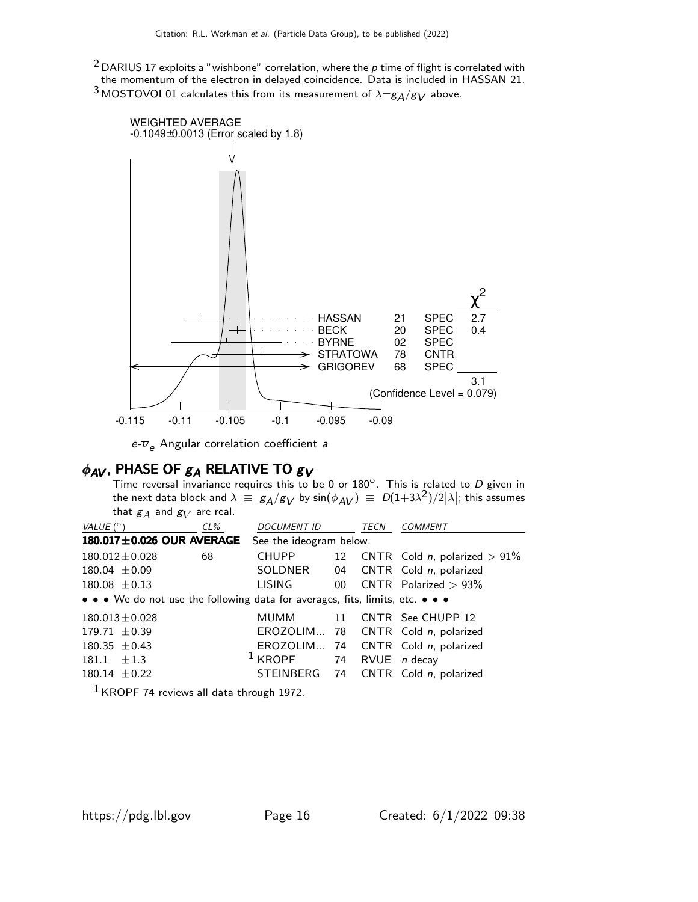$2$  DARIUS 17 exploits a "wishbone" correlation, where the  $p$  time of flight is correlated with the momentum of the electron in delayed coincidence. Data is included in HASSAN 21.  $^3$  MOSTOVOI 01 calculates this from its measurement of  $\lambda = g_A/g_V$  above.



 $e$ - $\overline{\nu}_e$  Angular correlation coefficient a

## $\phi_{AV}$ , PHASE OF  $g_A$  RELATIVE TO  $g_V$

Time reversal invariance requires this to be 0 or  $180^\circ$ . This is related to D given in the next data block and  $\lambda \ \equiv \ g_{\cal A}/g_{\cal V}$  by  $\sin(\phi_{\cal A V}) \ \equiv \ D(1+3\lambda^2)/2|\lambda|;$  this assumes that  $\mathcal{g}_A$  and  $\mathcal{g}_V$  are real.

| VALUE (°)                                                                     | $CL\%$ | DOCUMENT ID TECN        |  | COMMENT                                    |
|-------------------------------------------------------------------------------|--------|-------------------------|--|--------------------------------------------|
| $180.017 \pm 0.026$ OUR AVERAGE                                               |        | See the ideogram below. |  |                                            |
| $180.012 \pm 0.028$                                                           | 68     | CHUPP                   |  | 12 CNTR Cold <i>n</i> , polarized $> 91\%$ |
| $180.04 \pm 0.09$                                                             |        | SOLDNER                 |  | 04 CNTR Cold n, polarized                  |
| $180.08 \pm 0.13$                                                             |        | LISING                  |  | 00 $\text{CNTR}$ Polarized $> 93\%$        |
| • • • We do not use the following data for averages, fits, limits, etc. • • • |        |                         |  |                                            |
| $180.013 \pm 0.028$                                                           |        | MUMM 11                 |  | CNTR See CHUPP 12                          |
| $179.71 \pm 0.39$                                                             |        |                         |  | EROZOLIM 78 CNTR Cold n, polarized         |
| $180.35 \pm 0.43$                                                             |        |                         |  | EROZOLIM 74 CNTR Cold n, polarized         |
| $181.1 + 1.3$                                                                 |        | $1$ KROPF               |  | 74 RVUE <i>n</i> decay                     |
| $180.14 \pm 0.22$                                                             |        |                         |  | STEINBERG 74 CNTR Cold n, polarized        |
| $1.70000 - 1.$                                                                |        |                         |  |                                            |

1 KROPF 74 reviews all data through 1972.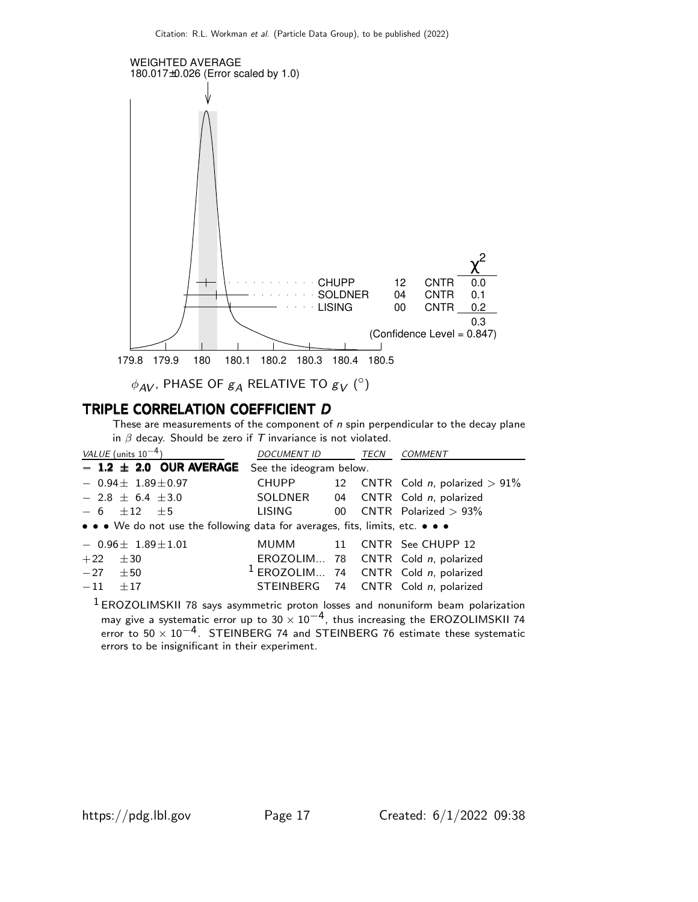

 $\phi_{\mathsf{AV}}$ , PHASE OF  $g_{\mathsf{A}}$  RELATIVE TO  $g_{\mathsf{V}}({^\circ})$ 

## TRIPLE CORRELATION COEFFICIENT D

These are measurements of the component of  $n$  spin perpendicular to the decay plane in  $\beta$  decay. Should be zero if  $T$  invariance is not violated.

| VALUE (units $10^{-4}$ )                                                      | <b>DOCUMENT ID</b> | TECN | <b>COMMENT</b>                         |
|-------------------------------------------------------------------------------|--------------------|------|----------------------------------------|
| $-$ 1.2 $\pm$ 2.0 OUR AVERAGE See the ideogram below.                         |                    |      |                                        |
| $-0.94\pm 1.89\pm 0.97$                                                       | <b>CHUPP</b>       |      | 12 CNTR Cold n, polarized $> 91\%$     |
| $-2.8 \pm 6.4 \pm 3.0$                                                        | SOLDNER            |      | 04 CNTR Cold n, polarized              |
| $-6$ +12 +5                                                                   | LISING             |      | 00 CNTR Polarized $> 93\%$             |
| • • • We do not use the following data for averages, fits, limits, etc. • • • |                    |      |                                        |
| $-0.96\pm 1.89\pm 1.01$                                                       |                    |      | MUMM 11 CNTR See CHUPP 12              |
| ±30<br>$+22$                                                                  |                    |      | EROZOLIM 78 CNTR Cold n, polarized     |
| $-27 \pm 50$                                                                  |                    |      | $1$ EROZOLIM 74 CNTR Cold n, polarized |
| $-11$<br>$+17$                                                                |                    |      | STEINBERG 74 CNTR Cold n, polarized    |

1 EROZOLIMSKII 78 says asymmetric proton losses and nonuniform beam polarization may give a systematic error up to  $30 \times 10^{-4}$ , thus increasing the EROZOLIMSKII 74 error to  $50 \times 10^{-4}$ . STEINBERG 74 and STEINBERG 76 estimate these systematic errors to be insignificant in their experiment.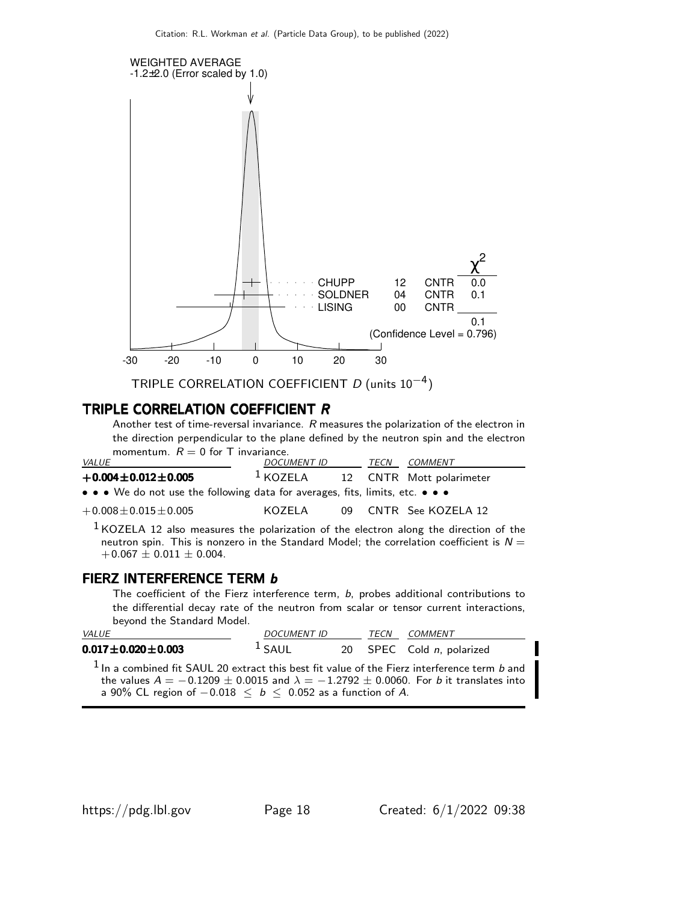

TRIPLE CORRELATION COEFFICIENT  $D$  (units 10<sup>-4</sup>)

#### TRIPLE CORRELATION COEFFICIENT R

Another test of time-reversal invariance. R measures the polarization of the electron in the direction perpendicular to the plane defined by the neutron spin and the electron momentum.  $R = 0$  for T invariance.

| <i>VALUE</i>                                                                                                          | <i>DOCUMENT ID</i> | TECN | COMMENT                  |
|-----------------------------------------------------------------------------------------------------------------------|--------------------|------|--------------------------|
| $+0.004 \pm 0.012 \pm 0.005$                                                                                          | $^1$ KOZELA        |      | 12 CNTR Mott polarimeter |
| $\bullet \bullet \bullet$ We do not use the following data for averages, fits, limits, etc. $\bullet \bullet \bullet$ |                    |      |                          |
| $+0.008 \pm 0.015 \pm 0.005$                                                                                          | KOZFI A            |      | 09 CNTR See KOZELA 12    |

 $<sup>1</sup>$  KOZELA 12 also measures the polarization of the electron along the direction of the</sup> neutron spin. This is nonzero in the Standard Model; the correlation coefficient is  $N =$  $+0.067 \pm 0.011 \pm 0.004$ .

#### FIERZ INTERFERENCE TERM b

The coefficient of the Fierz interference term, b, probes additional contributions to the differential decay rate of the neutron from scalar or tensor current interactions, beyond the Standard Model.

| <i>VALUE</i>                                                                                                                                                                                                                                                       | <i>DOCUMENT ID</i> | TECN | <i>COMMENT</i>            |
|--------------------------------------------------------------------------------------------------------------------------------------------------------------------------------------------------------------------------------------------------------------------|--------------------|------|---------------------------|
| $0.017 \pm 0.020 \pm 0.003$                                                                                                                                                                                                                                        | $1$ SAUL           |      | 20 SPEC Cold n, polarized |
| $1$ In a combined fit SAUL 20 extract this best fit value of the Fierz interference term b and<br>the values $A = -0.1209 \pm 0.0015$ and $\lambda = -1.2792 \pm 0.0060$ . For b it translates into<br>a 90% CL region of $-0.018 < b < 0.052$ as a function of A. |                    |      |                           |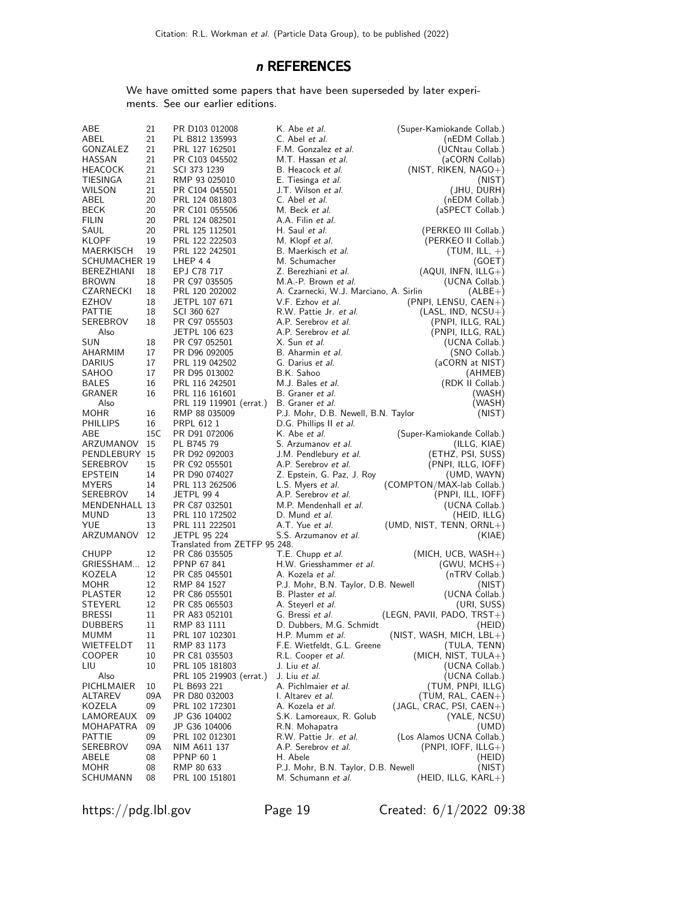## n REFERENCES

We have omitted some papers that have been superseded by later experiments. See our earlier editions.

| ABE                  | 21  | PR D103 012008                | K. Abe <i>et al.</i>                   | (Super-Kamiokande Collab.)          |
|----------------------|-----|-------------------------------|----------------------------------------|-------------------------------------|
| ABEL                 | 21  | PL B812 135993                | C. Abel <i>et al.</i>                  | (nEDM Collab.)                      |
| GONZALEZ             | 21  | PRL 127 162501                | F.M. Gonzalez et al.                   | (UCNtau Collab.)                    |
| HASSAN               | 21  | PR C103 045502                | M.T. Hassan <i>et al.</i>              | (aCORN Collab)                      |
| HEACOCK              | 21  | SCI 373 1239                  | B. Heacock et al.                      | (NIST, RIKEN, NAGO+)                |
| TIESINGA             | 21  | RMP 93 025010                 | E. Tiesinga et al.                     | (NIST)                              |
| <b>WILSON</b>        | 21  | PR C104 045501                | J.T. Wilson et al.                     | (JHU, DURH)                         |
| ABEL                 | 20  | PRL 124 081803                | C. Abel et al.                         | (nEDM Collab.)                      |
| BECK                 | 20  | PR C101 055506                | M. Beck <i>et al.</i>                  | (aSPECT Collab.)                    |
| FILIN                | 20  | PRL 124 082501                | A.A. Filin et al.                      |                                     |
| SAUL                 | 20  | PRL 125 112501                | H. Saul et al.                         | (PERKEO III Collab.)                |
| KLOPF                | 19  | PRL 122 222503                | M. Klopf et al.                        | (PERKEO II Collab.)                 |
| MAERKISCH            | 19  | PRL 122 242501                | B. Maerkisch <i>et al.</i>             | $(TUM, ILL, +)$                     |
| <b>SCHUMACHER 19</b> |     | LHEP 44                       | M. Schumacher                          | (GOET)                              |
| BEREZHIANI           | 18  | EPJ C78 717                   | Z. Berezhiani et al.                   | $(AQUI, INFN, ILLG+)$               |
| <b>BROWN</b>         | 18  | PR C97 035505                 | M.A.-P. Brown et al.                   | (UCNA Collab.)                      |
| CZARNECKI            | 18  | PRL 120 202002                | A. Czarnecki, W.J. Marciano, A. Sirlin | $(ALBE+)$                           |
| EZHOV                | 18  | JETPL 107 671                 | V.F. Ezhov <i>et al.</i>               |                                     |
|                      |     |                               |                                        | $(PNPI, LENSU, CAEN+)$              |
| PATTIE               | 18  | SCI 360 627                   | R.W. Pattie Jr. et al.                 | $(LASL, IND, NCSU+)$                |
| SEREBROV             | 18  | PR C97 055503                 | A.P. Serebrov et al.                   | (PNPI, ILLG, RAL)                   |
| Also                 |     | JETPL 106 623                 | A.P. Serebrov et al.                   | (PNPI, ILLG, RAL)                   |
| SUN                  | 18  | PR C97 052501                 | X. Sun et al.                          | (UCNA Collab.)                      |
| AHARMIM              | 17  | PR D96 092005                 | B. Aharmin et al.                      | (SNO Collab.)                       |
| <b>DARIUS</b>        | 17  | PRL 119 042502                | G. Darius et al.                       | (aCORN at NIST)                     |
| SAHOO                | 17  | PR D95 013002                 | B.K. Sahoo                             | (AHMEB)                             |
| BALES                | 16  | PRL 116 242501                | M.J. Bales et al.                      | (RDK II Collab.)                    |
| GRANER               | 16  | PRL 116 161601                | B. Graner et al.                       | (WASH)                              |
| Also                 |     | PRL 119 119901 (errat.)       | B. Graner et al.                       | (WASH)                              |
| MOHR                 | 16  | RMP 88 035009                 | P.J. Mohr, D.B. Newell, B.N. Taylor    | (NIST)                              |
| PHILLIPS             | 16  | PRPL 612 1                    | D.G. Phillips II et al.                |                                     |
| ABE                  | 15C | PR D91 072006                 | K. Abe <i>et al.</i>                   | (Super-Kamiokande Collab.)          |
| ARZUMANOV            | 15  | PL B745 79                    | S. Arzumanov et al.                    | (ILLG, KIAE)                        |
| PENDLEBURY 15        |     | PR D92 092003                 | J.M. Pendlebury et al.                 | (ETHZ, PSI, SUSS)                   |
| SEREBROV             | 15  | PR C92 055501                 | A.P. Serebrov et al.                   | (PNPI, ILLG, IOFF)                  |
| EPSTEIN              | 14  | PR D90 074027                 | Z. Epstein, G. Paz, J. Roy             | (UMD, WAYN)                         |
| <b>MYERS</b>         | 14  | PRL 113 262506                | L.S. Myers <i>et al.</i>               | (COMPTON/MAX-lab Collab.)           |
| SEREBROV             | 14  | JETPL 99 4                    | A.P. Serebrov et al.                   | (PNPI, ILL, IOFF)                   |
| MENDENHALL 13        |     | PR C87 032501                 | M.P. Mendenhall et al.                 | (UCNA Collab.)                      |
| MUND                 | 13  | PRL 110 172502                | D. Mund et al.                         | (HEID, ILLG)                        |
| YUE                  | 13  | PRL 111 222501                | A.T. Yue et al.                        | $(UMD, NIST, TENN, ORNL+)$          |
| ARZUMANOV            | 12  | <b>JETPL 95 224</b>           | S.S. Arzumanov <i>et al.</i>           | (KIAE)                              |
|                      |     | Translated from ZETFP 95 248. |                                        |                                     |
| CHUPP                | 12  | PR C86 035505                 | T.E. Chupp et al.                      | $(MICH, UCB, WASH+)$                |
| GRIESSHAM            | 12  | PPNP 67 841                   | H.W. Griesshammer et al.               | $(GWU, MCHS+)$                      |
| KOZELA               | 12  | PR C85 045501                 | A. Kozela <i>et al.</i>                | (nTRV Collab.)                      |
| MOHR                 | 12  | RMP 84 1527                   | P.J. Mohr, B.N. Taylor, D.B. Newell    | (NIST)                              |
| PLASTER              | 12  | PR C86 055501                 | B. Plaster <i>et al.</i>               | (UCNA Collab.)                      |
| STEYERL              | 12  | PR C85 065503                 | A. Steyerl et al.                      | (URI, SUSS)                         |
| <b>BRESSI</b>        | 11  | PR A83 052101                 | G. Bressi et al.                       | (LEGN, PAVII, PADO, TRST+)          |
| <b>DUBBERS</b>       | 11  | RMP 83 1111                   | D. Dubbers, M.G. Schmidt               | (HEID)                              |
| MUMM                 | 11  | PRL 107 102301                | H.P. Mumm et al.                       | $(NIST, WASH, MICH, LBL+)$          |
|                      |     | RMP 83 1173                   |                                        |                                     |
| WIETFELDT            | 11  |                               | F.E. Wietfeldt, G.L. Greene            | (TULA, TENN)<br>(MICH, NIST, TULA+) |
| COOPER               | 10  | PR C81 035503                 | R.L. Cooper et al.                     |                                     |
| LIU                  | 10  | PRL 105 181803                | J. Liu <i>et al.</i>                   | (UCNA Collab.)                      |
| Also                 |     | PRL 105 219903 (errat.)       | J. Liu et al.                          | (UCNA Collab.)                      |
| PICHLMAIER           | 10  | PL B693 221                   | A. Pichlmaier et al.                   | (TUM, PNPI, ILLG)                   |
| ALTAREV              | 09A | PR D80 032003                 | I. Altarev et al.                      | $(TUM, RAL, CAEN+)$                 |
| KOZELA               | 09  | PRL 102 172301                | A. Kozela <i>et al.</i>                | $(JAGL, CRAC, PSI, CAEN+)$          |
| LAMOREAUX            | 09  | JP G36 104002                 | S.K. Lamoreaux, R. Golub               | (YALE, NCSU)                        |
| MOHAPATRA            | 09  | JP G36 104006                 | R.N. Mohapatra                         | (UMD)                               |
| PATTIE               | 09  | PRL 102 012301                | R.W. Pattie Jr. et al.                 | (Los Alamos UCNA Collab.)           |
| SEREBROV             | 09A | NIM A611 137                  | A.P. Serebrov et al.                   | $(PNPI, IOFF, ILLG+)$               |
| ABELE                | 08  | <b>PPNP 60 1</b>              | H. Abele                               | (HEID)                              |
| MOHR                 | 08  | RMP 80 633                    | P.J. Mohr, B.N. Taylor, D.B. Newell    | (NIST)                              |
| SCHUMANN             | 08  | PRL 100 151801                | M. Schumann et al.                     | (HEID, ILLG, KARL+)                 |

https://pdg.lbl.gov Page 19 Created: 6/1/2022 09:38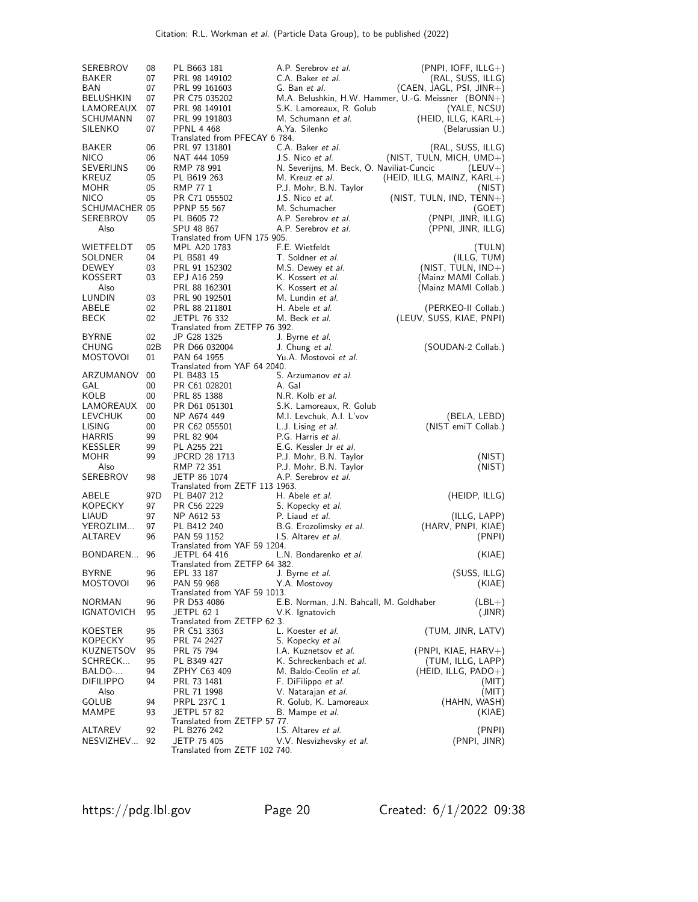| SEREBROV<br><b>BAKER</b><br>BAN<br><b>BELUSHKIN</b><br>LAMOREAUX<br>SCHUMANN | 08<br>07<br>07<br>07<br>07<br>07 | PL B663 181<br>PRL 98 149102<br>PRL 99 161603<br>PR C75 035202<br>PRL 98 149101<br>PRL 99 191803 | A.P. Serebrov et al.<br>C.A. Baker et al.<br>G. Ban et al.<br>S.K. Lamoreaux, R. Golub<br>M. Schumann et al. | $(PNPI, IOFF, ILLG+)$<br>(RAL, SUSS, ILLG)<br>$(CAEN, JAGL, PSI, JINR+)$<br>M.A. Belushkin, H.W. Hammer, U.-G. Meissner (BONN+)<br>(YALE, NCSU)<br>$(HEID, ILLG, KARL+)$ |
|------------------------------------------------------------------------------|----------------------------------|--------------------------------------------------------------------------------------------------|--------------------------------------------------------------------------------------------------------------|--------------------------------------------------------------------------------------------------------------------------------------------------------------------------|
| <b>SILENKO</b>                                                               | 07                               | <b>PPNL 4 468</b>                                                                                | A.Ya. Silenko                                                                                                | (Belarussian U.)                                                                                                                                                         |
| <b>BAKER</b><br><b>NICO</b>                                                  | 06<br>06                         | Translated from PFECAY 6 784.<br>PRL 97 131801<br>NAT 444 1059                                   | C.A. Baker et al.<br>J.S. Nico et al.                                                                        | (RAL, SUSS, ILLG)<br>(NIST, TULN, MICH, $UMD+$ )                                                                                                                         |
| SEVERIJNS<br>KREUZ                                                           | 06<br>05                         | RMP 78 991<br>PL B619 263                                                                        | N. Severijns, M. Beck, O. Naviliat-Cuncic<br>M. Kreuz et al.                                                 | $(LEUV+)$<br>(HEID, ILLG, MAINZ, $KARL+$ )                                                                                                                               |
| <b>MOHR</b>                                                                  | 05                               | <b>RMP 771</b>                                                                                   | P.J. Mohr, B.N. Taylor                                                                                       | (NIST)                                                                                                                                                                   |
| <b>NICO</b><br>SCHUMACHER 05                                                 | 05                               | PR C71 055502<br>PPNP 55 567                                                                     | J.S. Nico et al.<br>M. Schumacher                                                                            | (NIST, TULN, IND, TENN+)<br>(GOET)                                                                                                                                       |
| SEREBROV                                                                     | 05                               | PL B605 72                                                                                       | A.P. Serebrov et al.                                                                                         | (PNPI, JINR, ILLG)                                                                                                                                                       |
| Also                                                                         |                                  | SPU 48 867<br>Translated from UFN 175 905.                                                       | A.P. Serebrov et al.                                                                                         | (PPNI, JINR, ILLG)                                                                                                                                                       |
| WIETFELDT                                                                    | 05                               | MPL A20 1783                                                                                     | F.E. Wietfeldt                                                                                               | (TULN)                                                                                                                                                                   |
| SOLDNER                                                                      | 04                               | PL B581 49                                                                                       | T. Soldner et al.                                                                                            | (ILLG, TUM)                                                                                                                                                              |
| DEWEY                                                                        | 03                               | PRL 91 152302                                                                                    | M.S. Dewey et al.                                                                                            | $(NIST, TULN, IND+)$                                                                                                                                                     |
| KOSSERT                                                                      | 03                               | EPJ A16 259                                                                                      | K. Kossert <i>et al.</i>                                                                                     | (Mainz MAMI Collab.)                                                                                                                                                     |
| Also<br>LUNDIN                                                               | 03                               | PRL 88 162301<br>PRL 90 192501                                                                   | K. Kossert et al.<br>M. Lundin et al.                                                                        | (Mainz MAMI Collab.)                                                                                                                                                     |
| ABELE                                                                        | 02                               | PRL 88 211801                                                                                    | H. Abele et al.                                                                                              | (PERKEO-II Collab.)                                                                                                                                                      |
| <b>BECK</b>                                                                  | 02                               | <b>JETPL 76 332</b>                                                                              | M. Beck et al.                                                                                               | (LEUV, SUSS, KIAE, PNPI)                                                                                                                                                 |
|                                                                              |                                  | Translated from ZETFP 76 392.                                                                    |                                                                                                              |                                                                                                                                                                          |
| <b>BYRNE</b>                                                                 | 02                               | JP G28 1325                                                                                      | J. Byrne et al.                                                                                              |                                                                                                                                                                          |
| CHUNG                                                                        | 02B                              | PR D66 032004                                                                                    | J. Chung et al.                                                                                              | (SOUDAN-2 Collab.)                                                                                                                                                       |
| MOSTOVOI                                                                     | 01                               | PAN 64 1955<br>Translated from YAF 64 2040.                                                      | Yu.A. Mostovoi et al.                                                                                        |                                                                                                                                                                          |
| ARZUMANOV                                                                    | 00                               | PL B483 15                                                                                       | S. Arzumanov et al.                                                                                          |                                                                                                                                                                          |
| GAL                                                                          | 00                               | PR C61 028201                                                                                    | A. Gal                                                                                                       |                                                                                                                                                                          |
| KOLB                                                                         | 00                               | PRL 85 1388                                                                                      | N.R. Kolb et al.                                                                                             |                                                                                                                                                                          |
| LAMOREAUX<br><b>LEVCHUK</b>                                                  | 00<br>00                         | PR D61 051301<br>NP A674 449                                                                     | S.K. Lamoreaux, R. Golub<br>M.I. Levchuk, A.I. L'vov                                                         | (BELA, LEBD)                                                                                                                                                             |
| LISING                                                                       | 00                               | PR C62 055501                                                                                    | L.J. Lising et al.                                                                                           | (NIST emiT Collab.)                                                                                                                                                      |
| <b>HARRIS</b>                                                                | 99                               | PRL 82 904                                                                                       | P.G. Harris et al.                                                                                           |                                                                                                                                                                          |
| KESSLER                                                                      | 99                               | PL A255 221                                                                                      | E.G. Kessler Jr et al.                                                                                       |                                                                                                                                                                          |
| MOHR                                                                         | 99                               | JPCRD 28 1713                                                                                    | P.J. Mohr, B.N. Taylor                                                                                       | (NIST)                                                                                                                                                                   |
| Also                                                                         |                                  | RMP 72 351                                                                                       | P.J. Mohr, B.N. Taylor                                                                                       | (NIST)                                                                                                                                                                   |
| <b>SEREBROV</b>                                                              | 98                               | JETP 86 1074<br>Translated from ZETF 113 1963.                                                   | A.P. Serebrov et al.                                                                                         |                                                                                                                                                                          |
| ABELE                                                                        | 97D                              | PL B407 212                                                                                      | H. Abele <i>et al.</i>                                                                                       | (HEIDP, ILLG)                                                                                                                                                            |
| <b>KOPECKY</b>                                                               | 97                               | PR C56 2229                                                                                      | S. Kopecky et al.                                                                                            |                                                                                                                                                                          |
| LIAUD                                                                        | 97                               | NP A612 53                                                                                       | P. Liaud et al.                                                                                              | (ILLG, LAPP)                                                                                                                                                             |
| YEROZLIM                                                                     | 97                               | PL B412 240                                                                                      | B.G. Erozolimsky et al.                                                                                      | (HARV, PNPI, KIAE)                                                                                                                                                       |
| ALTAREV                                                                      | 96                               | PAN 59 1152<br>Translated from YAF 59 1204.                                                      | I.S. Altarev et al.                                                                                          | (PNPI)                                                                                                                                                                   |
| BONDAREN                                                                     | 96                               | <b>JETPL 64 416</b>                                                                              | L.N. Bondarenko et al.                                                                                       | (KIAE)                                                                                                                                                                   |
|                                                                              |                                  | Translated from ZETFP 64 382.                                                                    |                                                                                                              |                                                                                                                                                                          |
| BYRNE                                                                        | 96                               | EPL 33 187                                                                                       | J. Byrne <i>et al.</i>                                                                                       | (SUSS, ILLG)                                                                                                                                                             |
| MOSTOVOI                                                                     | 96                               | PAN 59 968                                                                                       | Y.A. Mostovoy                                                                                                | (KIAE)                                                                                                                                                                   |
| <b>NORMAN</b>                                                                | 96                               | Translated from YAF 59 1013.<br>PR D53 4086                                                      | E.B. Norman, J.N. Bahcall, M. Goldhaber                                                                      | $(LBL+)$                                                                                                                                                                 |
| IGNATOVICH                                                                   | 95                               | JETPL 62 1                                                                                       | V.K. Ignatovich                                                                                              | (JINR)                                                                                                                                                                   |
|                                                                              |                                  | Translated from ZETFP 62 3.                                                                      |                                                                                                              |                                                                                                                                                                          |
| <b>KOESTER</b>                                                               | 95                               | PR C51 3363                                                                                      | L. Koester et al.                                                                                            | (TUM, JINR, LATV)                                                                                                                                                        |
| KOPECKY                                                                      | 95                               | PRL 74 2427                                                                                      | S. Kopecky et al.                                                                                            |                                                                                                                                                                          |
| KUZNETSOV<br>SCHRECK                                                         | 95<br>95                         | PRL 75 794                                                                                       | I.A. Kuznetsov et al.<br>K. Schreckenbach et al.                                                             | (PNPI, KIAE, HARV+)                                                                                                                                                      |
| BALDO-                                                                       | 94                               | PL B349 427<br>ZPHY C63 409                                                                      | M. Baldo-Ceolin et al.                                                                                       | (TUM, ILLG, LAPP)<br>$(HEID, ILLG, PADO+)$                                                                                                                               |
| DIFILIPPO                                                                    | 94                               | PRL 73 1481                                                                                      | F. DiFilippo et al.                                                                                          | (MIT)                                                                                                                                                                    |
| Also                                                                         |                                  | PRL 71 1998                                                                                      | V. Natarajan <i>et al.</i>                                                                                   | (MIT)                                                                                                                                                                    |
| GOLUB                                                                        | 94                               | PRPL 237C 1                                                                                      | R. Golub, K. Lamoreaux                                                                                       | (HAHN, WASH)                                                                                                                                                             |
| MAMPE                                                                        | 93                               | <b>JETPL 57 82</b>                                                                               | B. Mampe <i>et al.</i>                                                                                       | (KIAE)                                                                                                                                                                   |
|                                                                              |                                  | Translated from ZETFP 57 77.                                                                     |                                                                                                              |                                                                                                                                                                          |
| ALTAREV<br>NESVIZHEV                                                         | 92<br>92                         | PL B276 242<br>JETP 75 405                                                                       | I.S. Altarev et al.<br>V.V. Nesvizhevsky et al.                                                              | (PNPI)<br>(PNPI, JINR)                                                                                                                                                   |
|                                                                              |                                  | Translated from ZETF 102 740.                                                                    |                                                                                                              |                                                                                                                                                                          |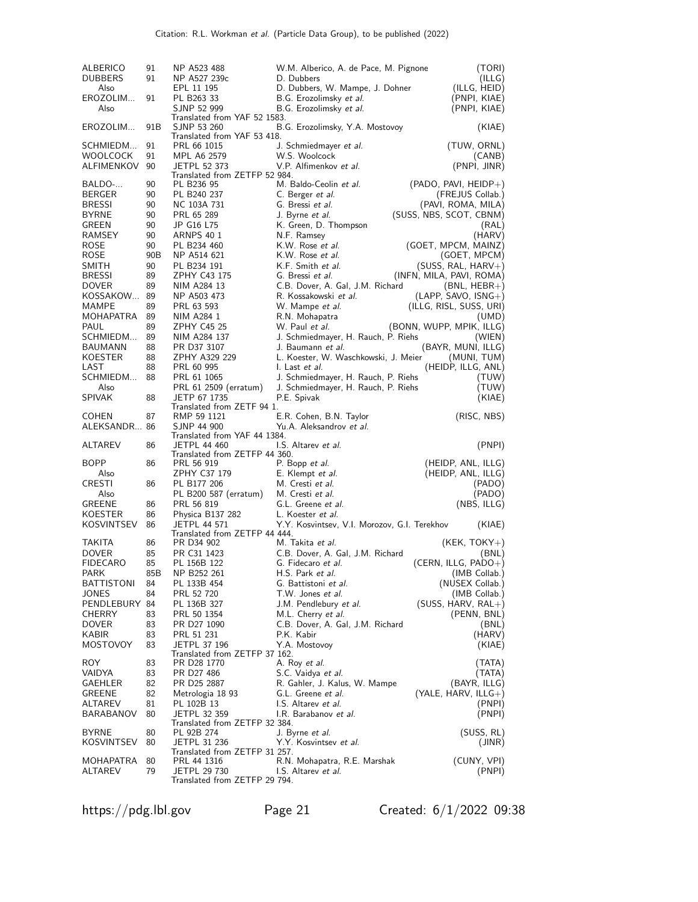| ALBERICO<br><b>DUBBERS</b><br>Also | 91<br>91 | NP A523 488<br>NP A527 239c<br>EPL 11 195            | W.M. Alberico, A. de Pace, M. Pignone<br>D. Dubbers                                   | (TORI)<br>(ILLG)<br>(ILLG, HEID)              |
|------------------------------------|----------|------------------------------------------------------|---------------------------------------------------------------------------------------|-----------------------------------------------|
| EROZOLIM<br>Also                   | 91       | PL B263 33<br>SJNP 52 999                            | D. Dubbers, W. Mampe, J. Dohner<br>B.G. Erozolimsky et al.<br>B.G. Erozolimsky et al. | (PNPI, KIAE)<br>(PNPI, KIAE)                  |
| EROZOLIM                           | 91B      | Translated from YAF 52 1583.<br>SJNP 53 260          | B.G. Erozolimsky, Y.A. Mostovoy                                                       | (KIAE)                                        |
| SCHMIEDM                           | 91       | Translated from YAF 53 418.<br>PRL 66 1015           | J. Schmiedmayer et al.                                                                | (TUW, ORNL)                                   |
| <b>WOOLCOCK</b>                    | 91       | MPL A6 2579                                          | W.S. Woolcock                                                                         | (CANB)                                        |
| ALFIMENKOV                         | 90       | <b>JETPL 52 373</b><br>Translated from ZETFP 52 984. | V.P. Alfimenkov et al.                                                                | (PNPI, JINR)                                  |
| BALDO-                             | 90       | PL B236 95                                           | M. Baldo-Ceolin et al.                                                                | $(PADO, PAVI, HEIDP+)$                        |
| BERGER                             | 90       | PL B240 237                                          | C. Berger et al.                                                                      | (FREJUS Collab.)                              |
| <b>BRESSI</b><br><b>BYRNE</b>      | 90<br>90 | NC 103A 731<br>PRL 65 289                            | G. Bressi et al.<br>J. Byrne et al.                                                   | (PAVI, ROMA, MILA)<br>(SUSS, NBS, SCOT, CBNM) |
| GREEN                              | 90       | JP G16 L75                                           | K. Green, D. Thompson                                                                 | (RAL)                                         |
| RAMSEY                             | 90       | <b>ARNPS 40 1</b>                                    | N.F. Ramsey                                                                           | (HARV)                                        |
| <b>ROSE</b>                        | 90       | PL B234 460                                          | K.W. Rose et al.                                                                      | (GOET, MPCM, MAINZ)                           |
| <b>ROSE</b>                        | 90B      | NP A514 621                                          | K.W. Rose et al.                                                                      | (GOET, MPCM)                                  |
| <b>SMITH</b><br><b>BRESSI</b>      | 90<br>89 | PL B234 191                                          | K.F. Smith et al.                                                                     | $(SUSS, RAL, HARV+)$                          |
| <b>DOVER</b>                       | 89       | ZPHY C43 175<br>NIM A284 13                          | G. Bressi et al.<br>C.B. Dover, A. Gal, J.M. Richard                                  | (INFN, MILA, PAVI, ROMA)<br>$(BNL, HEBR+)$    |
| KOSSAKOW                           | 89       | NP A503 473                                          | R. Kossakowski et al.                                                                 | (LAPP, SAVO, ISNG+)                           |
| MAMPE                              | 89       | PRL 63 593                                           | W. Mampe <i>et al.</i>                                                                | (ILLG, RISL, SUSS, URI)                       |
| MOHAPATRA                          | 89       | NIM A284 1                                           | R.N. Mohapatra                                                                        | (UMD)                                         |
| PAUL                               | 89       | ZPHY C45 25                                          | W. Paul et al.                                                                        | (BONN, WUPP, MPIK, ILLG)                      |
| SCHMIEDM                           | 89       | NIM A284 137                                         | J. Schmiedmayer, H. Rauch, P. Riehs                                                   | (WIEN)                                        |
| BAUMANN<br>KOESTER                 | 88<br>88 | PR D37 3107<br>ZPHY A329 229                         | J. Baumann <i>et al.</i>                                                              | (BAYR, MUNI, ILLG)                            |
| LAST                               | 88       | PRL 60 995                                           | L. Koester, W. Waschkowski, J. Meier<br>I. Last et al.                                | (MUNI, TUM)<br>(HEIDP, ILLG, ANL)             |
| SCHMIEDM                           | 88       | PRL 61 1065                                          | J. Schmiedmayer, H. Rauch, P. Riehs                                                   | (TUW)                                         |
| Also                               |          | PRL 61 2509 (erratum)                                | J. Schmiedmayer, H. Rauch, P. Riehs                                                   | (TUW)                                         |
| <b>SPIVAK</b>                      | 88       | JETP 67 1735<br>Translated from ZETF 94 1.           | P.E. Spivak                                                                           | (KIAE)                                        |
| <b>COHEN</b>                       | 87       | RMP 59 1121                                          | E.R. Cohen, B.N. Taylor                                                               | (RISC, NBS)                                   |
| ALEKSANDR 86                       |          | SJNP 44 900                                          | Yu.A. Aleksandrov et al.                                                              |                                               |
| ALTAREV                            | 86       | Translated from YAF 44 1384.<br><b>JETPL 44 460</b>  | I.S. Altarev et al.                                                                   | (PNPI)                                        |
|                                    |          | Translated from ZETFP 44 360.                        |                                                                                       |                                               |
| <b>BOPP</b>                        | 86       | PRL 56 919                                           | P. Bopp et al.                                                                        | (HEIDP, ANL, ILLG)                            |
| Also                               |          | ZPHY C37 179                                         | E. Klempt et al.                                                                      | (HEIDP, ANL, ILLG)                            |
| CRESTI<br>Also                     | 86       | PL B177 206<br>PL B200 587 (erratum)                 | M. Cresti <i>et al.</i><br>M. Cresti et al.                                           | (PADO)<br>(PADO)                              |
| <b>GREENE</b>                      | 86       | PRL 56 819                                           | G.L. Greene et al.                                                                    | (NBS, ILLG)                                   |
| KOESTER                            | 86       | Physica B137 282                                     | L. Koester <i>et al.</i>                                                              |                                               |
| KOSVINTSEV                         | 86       | <b>JETPL 44 571</b>                                  | Y.Y. Kosvintsev, V.I. Morozov, G.I. Terekhov                                          | (KIAE)                                        |
|                                    |          | Translated from ZETFP 44 444.                        |                                                                                       |                                               |
| <b>TAKITA</b>                      | 86<br>85 | PR D34 902                                           | M. Takita et al.                                                                      | $(KEK, TOKY+)$                                |
| <b>DOVER</b><br><b>FIDECARO</b>    | 85       | PR C31 1423<br>PL 156B 122                           | C.B. Dover, A. Gal, J.M. Richard<br>G. Fidecaro <i>et al.</i>                         | (BNL)<br>(CERN, ILLG, $PADO+$ )               |
| PARK                               | 85B      | NP B252 261                                          | H.S. Park et al.                                                                      | (IMB Collab.)                                 |
| <b>BATTISTONI</b>                  | 84       | PL 133B 454                                          | G. Battistoni <i>et al.</i>                                                           | (NUSEX Collab.)                               |
| <b>JONES</b>                       | 84       | PRL 52 720                                           | T.W. Jones et al.                                                                     | (IMB Collab.)                                 |
| PENDLEBURY 84                      |          | PL 136B 327                                          | J.M. Pendlebury et al.                                                                | $(SUSS, HARV, RAL+)$                          |
| <b>CHERRY</b>                      | 83       | PRL 50 1354                                          | M.L. Cherry et al.                                                                    | (PENN, BNL)                                   |
| <b>DOVER</b><br>KABIR              | 83<br>83 | PR D27 1090<br>PRL 51 231                            | C.B. Dover, A. Gal, J.M. Richard<br>P.K. Kabir                                        | (BNL)<br>(HARV)                               |
| <b>MOSTOVOY</b>                    | 83       | <b>JETPL 37 196</b>                                  | Y.A. Mostovoy                                                                         | (KIAE)                                        |
|                                    |          | Translated from ZETFP 37 162.                        |                                                                                       |                                               |
| <b>ROY</b>                         | 83       | PR D28 1770                                          | A. Roy et al.                                                                         | (TATA)                                        |
| VAIDYA                             | 83       | PR D27 486                                           | S.C. Vaidya et al.                                                                    | (TATA)<br>(BAYR, ILLG)                        |
| GAEHLER<br><b>GREENE</b>           | 82<br>82 | PR D25 2887<br>Metrologia 18 93                      | R. Gahler, J. Kalus, W. Mampe<br>G.L. Greene et al.                                   | (YALE, HARV, ILLG $+)$                        |
| ALTAREV                            | 81       | PL 102B 13                                           | I.S. Altarev et al.                                                                   | (PNPI)                                        |
| BARABANOV                          | 80       | <b>JETPL 32 359</b><br>Translated from ZETFP 32 384. | I.R. Barabanov et al.                                                                 | (PNPI)                                        |
| <b>BYRNE</b>                       | 80       | PL 92B 274                                           | J. Byrne <i>et al.</i>                                                                | (SUSS, RL)                                    |
| <b>KOSVINTSEV</b>                  | 80       | JETPL 31 236                                         | Y.Y. Kosvintsev et al.                                                                | (JINR)                                        |
|                                    |          | Translated from ZETFP 31 257.                        |                                                                                       |                                               |
| MOHAPATRA                          | 80       | PRL 44 1316<br>JETPL 29 730                          | R.N. Mohapatra, R.E. Marshak                                                          | (CUNY, VPI)                                   |
| ALTAREV                            | 79       | Translated from ZETFP 29 794.                        | I.S. Altarev et al.                                                                   | (PNPI)                                        |

https://pdg.lbl.gov Page 21 Created: 6/1/2022 09:38